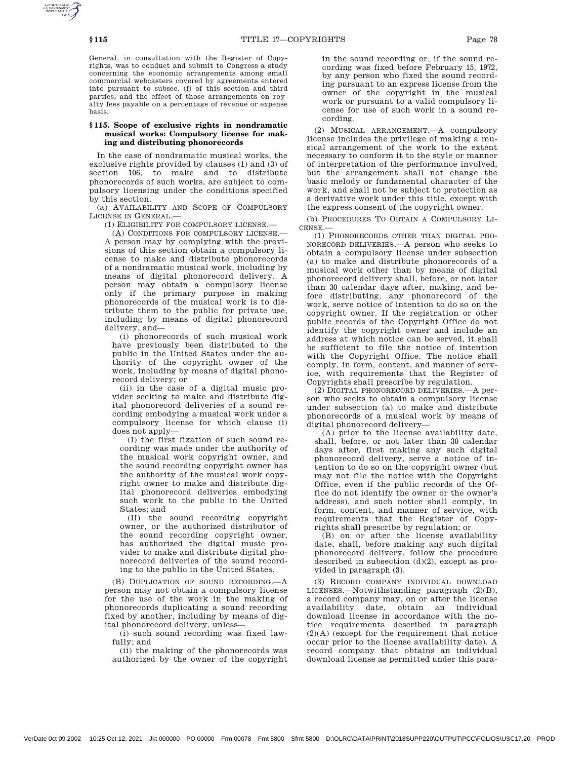General, in consultation with the Register of Copyrights, was to conduct and submit to Congress a study concerning the economic arrangements among small commercial webcasters covered by agreements entered into pursuant to subsec. (f) of this section and third parties, and the effect of those arrangements on royalty fees payable on a percentage of revenue or expense basis.

# **§ 115. Scope of exclusive rights in nondramatic musical works: Compulsory license for making and distributing phonorecords**

In the case of nondramatic musical works, the exclusive rights provided by clauses (1) and (3) of section 106, to make and to distribute phonorecords of such works, are subject to compulsory licensing under the conditions specified by this section.

(a) AVAILABILITY AND SCOPE OF COMPULSORY LICENSE IN GENERAL.—

(1) ELIGIBILITY FOR COMPULSORY LICENSE.—

(A) CONDITIONS FOR COMPULSORY LICENSE.— A person may by complying with the provisions of this section obtain a compulsory license to make and distribute phonorecords of a nondramatic musical work, including by means of digital phonorecord delivery. A person may obtain a compulsory license only if the primary purpose in making phonorecords of the musical work is to distribute them to the public for private use, including by means of digital phonorecord delivery, and—

(i) phonorecords of such musical work have previously been distributed to the public in the United States under the authority of the copyright owner of the work, including by means of digital phonorecord delivery; or

(ii) in the case of a digital music provider seeking to make and distribute digital phonorecord deliveries of a sound recording embodying a musical work under a compulsory license for which clause (i) does not apply—

(I) the first fixation of such sound recording was made under the authority of the musical work copyright owner, and the sound recording copyright owner has the authority of the musical work copyright owner to make and distribute digital phonorecord deliveries embodying such work to the public in the United States; and

(II) the sound recording copyright owner, or the authorized distributor of the sound recording copyright owner, has authorized the digital music provider to make and distribute digital phonorecord deliveries of the sound recording to the public in the United States.

(B) DUPLICATION OF SOUND RECORDING.—A person may not obtain a compulsory license for the use of the work in the making of phonorecords duplicating a sound recording fixed by another, including by means of digital phonorecord delivery, unless—

(i) such sound recording was fixed lawfully; and

(ii) the making of the phonorecords was authorized by the owner of the copyright in the sound recording or, if the sound recording was fixed before February 15, 1972, by any person who fixed the sound recording pursuant to an express license from the owner of the copyright in the musical work or pursuant to a valid compulsory license for use of such work in a sound recording.

(2) MUSICAL ARRANGEMENT.—A compulsory license includes the privilege of making a musical arrangement of the work to the extent necessary to conform it to the style or manner of interpretation of the performance involved, but the arrangement shall not change the basic melody or fundamental character of the work, and shall not be subject to protection as a derivative work under this title, except with the express consent of the copyright owner.

(b) PROCEDURES TO OBTAIN A COMPULSORY LI-CENSE.—

(1) PHONORECORDS OTHER THAN DIGITAL PHO-NORECORD DELIVERIES.—A person who seeks to obtain a compulsory license under subsection (a) to make and distribute phonorecords of a musical work other than by means of digital phonorecord delivery shall, before, or not later than 30 calendar days after, making, and before distributing, any phonorecord of the work, serve notice of intention to do so on the copyright owner. If the registration or other public records of the Copyright Office do not identify the copyright owner and include an address at which notice can be served, it shall be sufficient to file the notice of intention with the Copyright Office. The notice shall comply, in form, content, and manner of service, with requirements that the Register of Copyrights shall prescribe by regulation.

(2) DIGITAL PHONORECORD DELIVERIES.—A person who seeks to obtain a compulsory license under subsection (a) to make and distribute phonorecords of a musical work by means of digital phonorecord delivery—

(A) prior to the license availability date, shall, before, or not later than 30 calendar days after, first making any such digital phonorecord delivery, serve a notice of intention to do so on the copyright owner (but may not file the notice with the Copyright Office, even if the public records of the Office do not identify the owner or the owner's address), and such notice shall comply, in form, content, and manner of service, with requirements that the Register of Copyrights shall prescribe by regulation; or

(B) on or after the license availability date, shall, before making any such digital phonorecord delivery, follow the procedure described in subsection (d)(2), except as provided in paragraph (3).

(3) RECORD COMPANY INDIVIDUAL DOWNLOAD LICENSES.—Notwithstanding paragraph (2)(B), a record company may, on or after the license availability date, obtain an individual download license in accordance with the notice requirements described in paragraph (2)(A) (except for the requirement that notice occur prior to the license availability date). A record company that obtains an individual download license as permitted under this para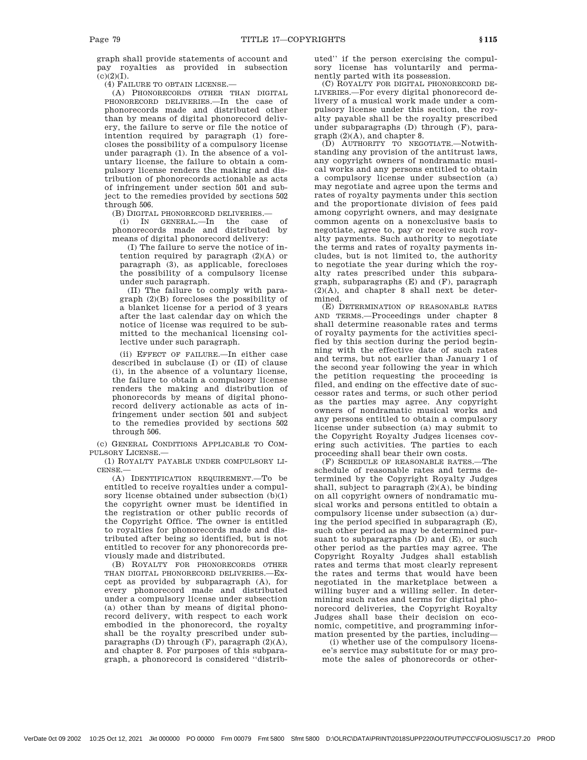graph shall provide statements of account and pay royalties as provided in subsection  $(c)(2)(1)$ .

(4) FAILURE TO OBTAIN LICENSE.—

(A) PHONORECORDS OTHER THAN DIGITAL PHONORECORD DELIVERIES.—In the case of phonorecords made and distributed other than by means of digital phonorecord delivery, the failure to serve or file the notice of intention required by paragraph (1) forecloses the possibility of a compulsory license under paragraph (1). In the absence of a voluntary license, the failure to obtain a compulsory license renders the making and distribution of phonorecords actionable as acts of infringement under section 501 and subject to the remedies provided by sections 502 through 506.

(B) DIGITAL PHONORECORD DELIVERIES.—

(i) IN GENERAL.—In the case of phonorecords made and distributed by means of digital phonorecord delivery:

(I) The failure to serve the notice of intention required by paragraph  $(2)(A)$  or paragraph (3), as applicable, forecloses the possibility of a compulsory license under such paragraph.

(II) The failure to comply with paragraph (2)(B) forecloses the possibility of a blanket license for a period of 3 years after the last calendar day on which the notice of license was required to be submitted to the mechanical licensing collective under such paragraph.

(ii) EFFECT OF FAILURE.—In either case described in subclause (I) or (II) of clause (i), in the absence of a voluntary license, the failure to obtain a compulsory license renders the making and distribution of phonorecords by means of digital phonorecord delivery actionable as acts of infringement under section 501 and subject to the remedies provided by sections 502 through 506.

(c) GENERAL CONDITIONS APPLICABLE TO COM-PULSORY LICENSE.—

(1) ROYALTY PAYABLE UNDER COMPULSORY LI-CENSE.—

(A) IDENTIFICATION REQUIREMENT.—To be entitled to receive royalties under a compulsory license obtained under subsection (b)(1) the copyright owner must be identified in the registration or other public records of the Copyright Office. The owner is entitled to royalties for phonorecords made and distributed after being so identified, but is not entitled to recover for any phonorecords previously made and distributed.

(B) ROYALTY FOR PHONORECORDS OTHER THAN DIGITAL PHONORECORD DELIVERIES.—Except as provided by subparagraph (A), for every phonorecord made and distributed under a compulsory license under subsection (a) other than by means of digital phonorecord delivery, with respect to each work embodied in the phonorecord, the royalty shall be the royalty prescribed under subparagraphs (D) through (F), paragraph (2)(A), and chapter 8. For purposes of this subparagraph, a phonorecord is considered ''distributed'' if the person exercising the compulsory license has voluntarily and permanently parted with its possession.

(C) ROYALTY FOR DIGITAL PHONORECORD DE-LIVERIES.—For every digital phonorecord delivery of a musical work made under a compulsory license under this section, the royalty payable shall be the royalty prescribed under subparagraphs (D) through (F), paragraph (2)(A), and chapter 8.

(D) AUTHORITY TO NEGOTIATE.—Notwithstanding any provision of the antitrust laws, any copyright owners of nondramatic musical works and any persons entitled to obtain a compulsory license under subsection (a) may negotiate and agree upon the terms and rates of royalty payments under this section and the proportionate division of fees paid among copyright owners, and may designate common agents on a nonexclusive basis to negotiate, agree to, pay or receive such royalty payments. Such authority to negotiate the terms and rates of royalty payments includes, but is not limited to, the authority to negotiate the year during which the royalty rates prescribed under this subparagraph, subparagraphs (E) and (F), paragraph (2)(A), and chapter 8 shall next be determined.

(E) DETERMINATION OF REASONABLE RATES AND TERMS.—Proceedings under chapter 8 shall determine reasonable rates and terms of royalty payments for the activities specified by this section during the period beginning with the effective date of such rates and terms, but not earlier than January 1 of the second year following the year in which the petition requesting the proceeding is filed, and ending on the effective date of successor rates and terms, or such other period as the parties may agree. Any copyright owners of nondramatic musical works and any persons entitled to obtain a compulsory license under subsection (a) may submit to the Copyright Royalty Judges licenses covering such activities. The parties to each proceeding shall bear their own costs.

(F) SCHEDULE OF REASONABLE RATES.—The schedule of reasonable rates and terms determined by the Copyright Royalty Judges shall, subject to paragraph  $(2)(A)$ , be binding on all copyright owners of nondramatic musical works and persons entitled to obtain a compulsory license under subsection (a) during the period specified in subparagraph (E), such other period as may be determined pursuant to subparagraphs (D) and (E), or such other period as the parties may agree. The Copyright Royalty Judges shall establish rates and terms that most clearly represent the rates and terms that would have been negotiated in the marketplace between a willing buyer and a willing seller. In determining such rates and terms for digital phonorecord deliveries, the Copyright Royalty Judges shall base their decision on economic, competitive, and programming information presented by the parties, including—

(i) whether use of the compulsory licensee's service may substitute for or may promote the sales of phonorecords or other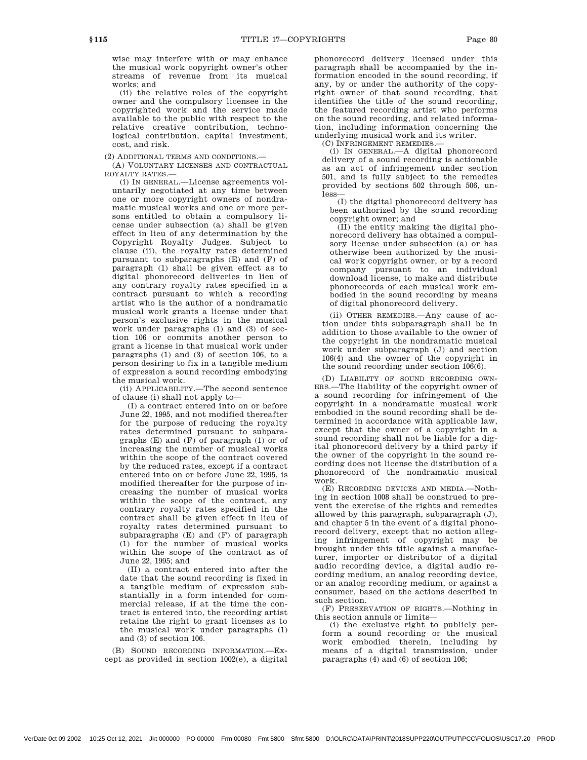wise may interfere with or may enhance the musical work copyright owner's other streams of revenue from its musical works; and

(ii) the relative roles of the copyright owner and the compulsory licensee in the copyrighted work and the service made available to the public with respect to the relative creative contribution, technological contribution, capital investment, cost, and risk.

(2) ADDITIONAL TERMS AND CONDITIONS.—

(A) VOLUNTARY LICENSES AND CONTRACTUAL ROYALTY RATES.—

(i) IN GENERAL.—License agreements voluntarily negotiated at any time between one or more copyright owners of nondramatic musical works and one or more persons entitled to obtain a compulsory license under subsection (a) shall be given effect in lieu of any determination by the Copyright Royalty Judges. Subject to clause (ii), the royalty rates determined pursuant to subparagraphs (E) and (F) of paragraph (1) shall be given effect as to digital phonorecord deliveries in lieu of any contrary royalty rates specified in a contract pursuant to which a recording artist who is the author of a nondramatic musical work grants a license under that person's exclusive rights in the musical work under paragraphs (1) and (3) of section 106 or commits another person to grant a license in that musical work under paragraphs (1) and (3) of section 106, to a person desiring to fix in a tangible medium of expression a sound recording embodying the musical work.

(ii) APPLICABILITY.—The second sentence of clause (i) shall not apply to—

(I) a contract entered into on or before June 22, 1995, and not modified thereafter for the purpose of reducing the royalty rates determined pursuant to subparagraphs  $(E)$  and  $(F)$  of paragraph  $(1)$  or of increasing the number of musical works within the scope of the contract covered by the reduced rates, except if a contract entered into on or before June 22, 1995, is modified thereafter for the purpose of increasing the number of musical works within the scope of the contract, any contrary royalty rates specified in the contract shall be given effect in lieu of royalty rates determined pursuant to subparagraphs  $(E)$  and  $(F)$  of paragraph (1) for the number of musical works within the scope of the contract as of June 22, 1995; and

(II) a contract entered into after the date that the sound recording is fixed in a tangible medium of expression substantially in a form intended for commercial release, if at the time the contract is entered into, the recording artist retains the right to grant licenses as to the musical work under paragraphs (1) and (3) of section 106.

(B) SOUND RECORDING INFORMATION.—Except as provided in section 1002(e), a digital phonorecord delivery licensed under this paragraph shall be accompanied by the information encoded in the sound recording, if any, by or under the authority of the copyright owner of that sound recording, that identifies the title of the sound recording, the featured recording artist who performs on the sound recording, and related information, including information concerning the underlying musical work and its writer.

(C) INFRINGEMENT REMEDIES.—

(i) IN GENERAL.—A digital phonorecord delivery of a sound recording is actionable as an act of infringement under section 501, and is fully subject to the remedies provided by sections 502 through 506, unless—

(I) the digital phonorecord delivery has been authorized by the sound recording copyright owner; and

(II) the entity making the digital phonorecord delivery has obtained a compulsory license under subsection (a) or has otherwise been authorized by the musical work copyright owner, or by a record company pursuant to an individual download license, to make and distribute phonorecords of each musical work embodied in the sound recording by means of digital phonorecord delivery.

(ii) OTHER REMEDIES.—Any cause of action under this subparagraph shall be in addition to those available to the owner of the copyright in the nondramatic musical work under subparagraph (J) and section 106(4) and the owner of the copyright in the sound recording under section 106(6).

(D) LIABILITY OF SOUND RECORDING OWN-ERS.—The liability of the copyright owner of a sound recording for infringement of the copyright in a nondramatic musical work embodied in the sound recording shall be determined in accordance with applicable law, except that the owner of a copyright in a sound recording shall not be liable for a digital phonorecord delivery by a third party if the owner of the copyright in the sound recording does not license the distribution of a phonorecord of the nondramatic musical work.

(E) RECORDING DEVICES AND MEDIA.—Nothing in section 1008 shall be construed to prevent the exercise of the rights and remedies allowed by this paragraph, subparagraph (J), and chapter 5 in the event of a digital phonorecord delivery, except that no action alleging infringement of copyright may be brought under this title against a manufacturer, importer or distributor of a digital audio recording device, a digital audio recording medium, an analog recording device, or an analog recording medium, or against a consumer, based on the actions described in such section.

(F) PRESERVATION OF RIGHTS.—Nothing in this section annuls or limits—

(i) the exclusive right to publicly perform a sound recording or the musical work embodied therein, including by means of a digital transmission, under paragraphs (4) and (6) of section 106;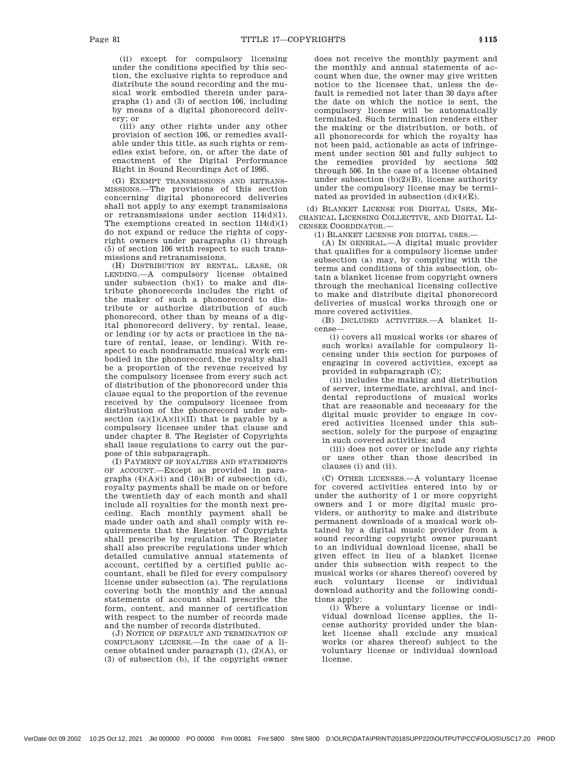(ii) except for compulsory licensing under the conditions specified by this section, the exclusive rights to reproduce and distribute the sound recording and the musical work embodied therein under paragraphs (1) and (3) of section 106, including by means of a digital phonorecord delivery; or

(iii) any other rights under any other provision of section 106, or remedies available under this title, as such rights or remedies exist before, on, or after the date of enactment of the Digital Performance Right in Sound Recordings Act of 1995.

(G) EXEMPT TRANSMISSIONS AND RETRANS-MISSIONS.—The provisions of this section concerning digital phonorecord deliveries shall not apply to any exempt transmissions or retransmissions under section 114(d)(1). The exemptions created in section  $114(d)(1)$ do not expand or reduce the rights of copyright owners under paragraphs (1) through (5) of section 106 with respect to such transmissions and retransmissions.

(H) DISTRIBUTION BY RENTAL, LEASE, OR LENDING.—A compulsory license obtained under subsection (b)(1) to make and distribute phonorecords includes the right of the maker of such a phonorecord to distribute or authorize distribution of such phonorecord, other than by means of a digital phonorecord delivery, by rental, lease, or lending (or by acts or practices in the nature of rental, lease, or lending). With respect to each nondramatic musical work embodied in the phonorecord, the royalty shall be a proportion of the revenue received by the compulsory licensee from every such act of distribution of the phonorecord under this clause equal to the proportion of the revenue received by the compulsory licensee from distribution of the phonorecord under subsection  $(a)(1)(A)(ii)(II)$  that is payable by a compulsory licensee under that clause and under chapter 8. The Register of Copyrights shall issue regulations to carry out the purpose of this subparagraph.

(I) PAYMENT OF ROYALTIES AND STATEMENTS OF ACCOUNT.—Except as provided in paragraphs  $(4)(A)(i)$  and  $(10)(B)$  of subsection  $(d)$ , royalty payments shall be made on or before the twentieth day of each month and shall include all royalties for the month next preceding. Each monthly payment shall be made under oath and shall comply with requirements that the Register of Copyrights shall prescribe by regulation. The Register shall also prescribe regulations under which detailed cumulative annual statements of account, certified by a certified public accountant, shall be filed for every compulsory license under subsection (a). The regulations covering both the monthly and the annual statements of account shall prescribe the form, content, and manner of certification with respect to the number of records made and the number of records distributed.

(J) NOTICE OF DEFAULT AND TERMINATION OF COMPULSORY LICENSE.—In the case of a license obtained under paragraph (1), (2)(A), or (3) of subsection (b), if the copyright owner does not receive the monthly payment and the monthly and annual statements of account when due, the owner may give written notice to the licensee that, unless the default is remedied not later than 30 days after the date on which the notice is sent, the compulsory license will be automatically terminated. Such termination renders either the making or the distribution, or both, of all phonorecords for which the royalty has not been paid, actionable as acts of infringement under section 501 and fully subject to the remedies provided by sections 502 through 506. In the case of a license obtained under subsection (b)(2)(B), license authority under the compulsory license may be terminated as provided in subsection  $(d)(4)(E)$ .

(d) BLANKET LICENSE FOR DIGITAL USES, ME-CHANICAL LICENSING COLLECTIVE, AND DIGITAL LI-CENSEE COORDINATOR.—

(1) BLANKET LICENSE FOR DIGITAL USES.—

(A) IN GENERAL.—A digital music provider that qualifies for a compulsory license under subsection (a) may, by complying with the terms and conditions of this subsection, obtain a blanket license from copyright owners through the mechanical licensing collective to make and distribute digital phonorecord deliveries of musical works through one or more covered activities.

(B) INCLUDED ACTIVITIES.—A blanket license—

(i) covers all musical works (or shares of such works) available for compulsory licensing under this section for purposes of engaging in covered activities, except as provided in subparagraph (C);

(ii) includes the making and distribution of server, intermediate, archival, and incidental reproductions of musical works that are reasonable and necessary for the digital music provider to engage in covered activities licensed under this subsection, solely for the purpose of engaging in such covered activities; and

(iii) does not cover or include any rights or uses other than those described in clauses (i) and (ii).

(C) OTHER LICENSES.—A voluntary license for covered activities entered into by or under the authority of 1 or more copyright owners and 1 or more digital music providers, or authority to make and distribute permanent downloads of a musical work obtained by a digital music provider from a sound recording copyright owner pursuant to an individual download license, shall be given effect in lieu of a blanket license under this subsection with respect to the musical works (or shares thereof) covered by such voluntary license or individual download authority and the following conditions apply:

(i) Where a voluntary license or individual download license applies, the license authority provided under the blanket license shall exclude any musical works (or shares thereof) subject to the voluntary license or individual download license.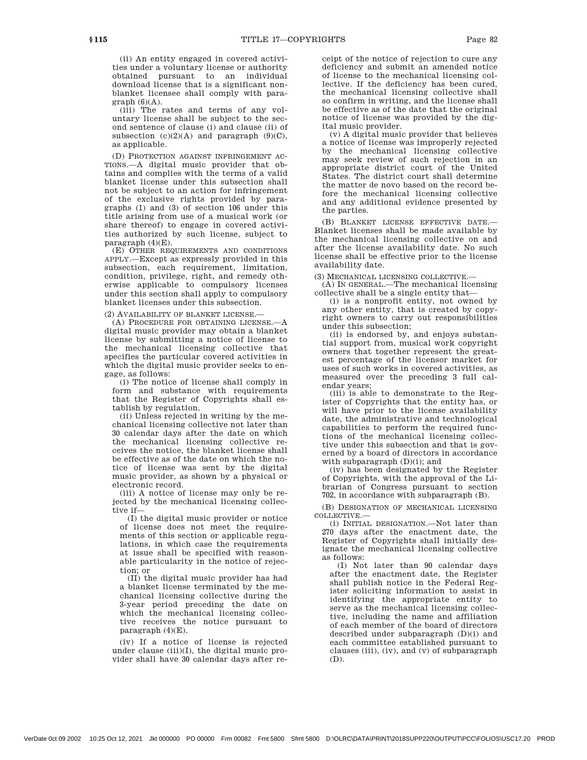(ii) An entity engaged in covered activities under a voluntary license or authority obtained pursuant to an individual download license that is a significant nonblanket licensee shall comply with para $graph (6)(A).$ 

(iii) The rates and terms of any voluntary license shall be subject to the second sentence of clause (i) and clause (ii) of subsection  $(c)(2)(A)$  and paragraph  $(9)(C)$ , as applicable.

(D) PROTECTION AGAINST INFRINGEMENT AC-TIONS.—A digital music provider that obtains and complies with the terms of a valid blanket license under this subsection shall not be subject to an action for infringement of the exclusive rights provided by paragraphs (1) and (3) of section 106 under this title arising from use of a musical work (or share thereof) to engage in covered activities authorized by such license, subject to paragraph  $(4)(E)$ .

(E) OTHER REQUIREMENTS AND CONDITIONS APPLY.—Except as expressly provided in this subsection, each requirement, limitation, condition, privilege, right, and remedy otherwise applicable to compulsory licenses under this section shall apply to compulsory blanket licenses under this subsection.

(2) AVAILABILITY OF BLANKET LICENSE.—

(A) PROCEDURE FOR OBTAINING LICENSE.—A digital music provider may obtain a blanket license by submitting a notice of license to the mechanical licensing collective that specifies the particular covered activities in which the digital music provider seeks to engage, as follows:

(i) The notice of license shall comply in form and substance with requirements that the Register of Copyrights shall establish by regulation.

(ii) Unless rejected in writing by the mechanical licensing collective not later than 30 calendar days after the date on which the mechanical licensing collective receives the notice, the blanket license shall be effective as of the date on which the notice of license was sent by the digital music provider, as shown by a physical or electronic record.

(iii) A notice of license may only be rejected by the mechanical licensing collective if—

(I) the digital music provider or notice of license does not meet the requirements of this section or applicable regulations, in which case the requirements at issue shall be specified with reasonable particularity in the notice of rejection; or

(II) the digital music provider has had a blanket license terminated by the mechanical licensing collective during the 3-year period preceding the date on which the mechanical licensing collective receives the notice pursuant to paragraph  $(4)(E)$ .

(iv) If a notice of license is rejected under clause (iii)(I), the digital music provider shall have 30 calendar days after re-

ceipt of the notice of rejection to cure any deficiency and submit an amended notice of license to the mechanical licensing collective. If the deficiency has been cured, the mechanical licensing collective shall so confirm in writing, and the license shall be effective as of the date that the original notice of license was provided by the digital music provider.

(v) A digital music provider that believes a notice of license was improperly rejected by the mechanical licensing collective may seek review of such rejection in an appropriate district court of the United States. The district court shall determine the matter de novo based on the record before the mechanical licensing collective and any additional evidence presented by the parties.

(B) BLANKET LICENSE EFFECTIVE DATE.— Blanket licenses shall be made available by the mechanical licensing collective on and after the license availability date. No such license shall be effective prior to the license availability date.

(3) MECHANICAL LICENSING COLLECTIVE.—

(A) IN GENERAL.—The mechanical licensing collective shall be a single entity that—

(i) is a nonprofit entity, not owned by any other entity, that is created by copyright owners to carry out responsibilities under this subsection;

(ii) is endorsed by, and enjoys substantial support from, musical work copyright owners that together represent the greatest percentage of the licensor market for uses of such works in covered activities, as measured over the preceding 3 full calendar years;

(iii) is able to demonstrate to the Register of Copyrights that the entity has, or will have prior to the license availability date, the administrative and technological capabilities to perform the required functions of the mechanical licensing collective under this subsection and that is governed by a board of directors in accordance with subparagraph (D)(i); and

(iv) has been designated by the Register of Copyrights, with the approval of the Librarian of Congress pursuant to section 702, in accordance with subparagraph (B).

(B) DESIGNATION OF MECHANICAL LICENSING COLLECTIVE.—

(i) INITIAL DESIGNATION.—Not later than 270 days after the enactment date, the Register of Copyrights shall initially designate the mechanical licensing collective as follows:

(I) Not later than 90 calendar days after the enactment date, the Register shall publish notice in the Federal Register soliciting information to assist in identifying the appropriate entity to serve as the mechanical licensing collective, including the name and affiliation of each member of the board of directors described under subparagraph (D)(i) and each committee established pursuant to clauses (iii), (iv), and (v) of subparagraph (D).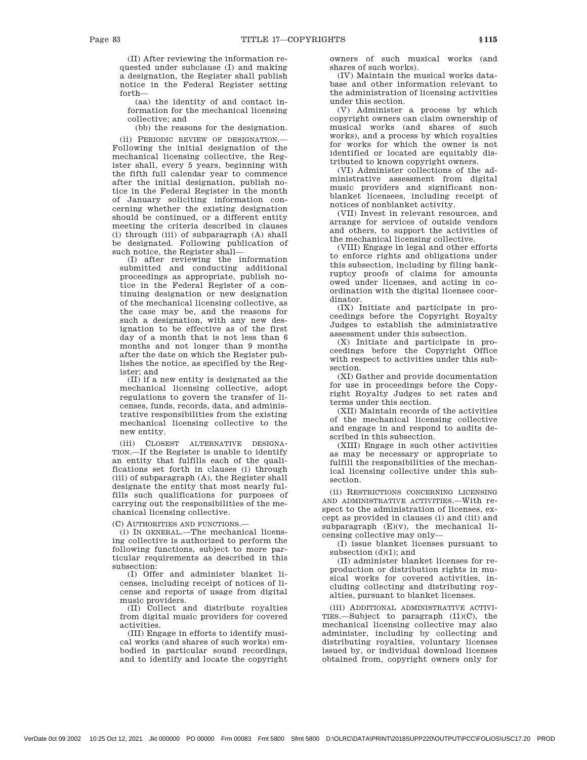(II) After reviewing the information requested under subclause (I) and making a designation, the Register shall publish notice in the Federal Register setting forth—

(aa) the identity of and contact information for the mechanical licensing collective; and

(bb) the reasons for the designation.

(ii) PERIODIC REVIEW OF DESIGNATION.— Following the initial designation of the mechanical licensing collective, the Register shall, every 5 years, beginning with the fifth full calendar year to commence after the initial designation, publish notice in the Federal Register in the month of January soliciting information concerning whether the existing designation should be continued, or a different entity meeting the criteria described in clauses (i) through (iii) of subparagraph (A) shall be designated. Following publication of such notice, the Register shall—

(I) after reviewing the information submitted and conducting additional proceedings as appropriate, publish notice in the Federal Register of a continuing designation or new designation of the mechanical licensing collective, as the case may be, and the reasons for such a designation, with any new designation to be effective as of the first day of a month that is not less than 6 months and not longer than 9 months after the date on which the Register publishes the notice, as specified by the Register; and

(II) if a new entity is designated as the mechanical licensing collective, adopt regulations to govern the transfer of licenses, funds, records, data, and administrative responsibilities from the existing mechanical licensing collective to the new entity.

(iii) CLOSEST ALTERNATIVE DESIGNA-TION.—If the Register is unable to identify an entity that fulfills each of the qualifications set forth in clauses (i) through (iii) of subparagraph (A), the Register shall designate the entity that most nearly fulfills such qualifications for purposes of carrying out the responsibilities of the mechanical licensing collective.

(C) AUTHORITIES AND FUNCTIONS.—

(i) IN GENERAL.—The mechanical licensing collective is authorized to perform the following functions, subject to more particular requirements as described in this subsection:

(I) Offer and administer blanket licenses, including receipt of notices of license and reports of usage from digital music providers.

(II) Collect and distribute royalties from digital music providers for covered activities.

(III) Engage in efforts to identify musical works (and shares of such works) embodied in particular sound recordings, and to identify and locate the copyright

owners of such musical works (and shares of such works).

(IV) Maintain the musical works database and other information relevant to the administration of licensing activities under this section.

(V) Administer a process by which copyright owners can claim ownership of musical works (and shares of such works), and a process by which royalties for works for which the owner is not identified or located are equitably distributed to known copyright owners.

(VI) Administer collections of the administrative assessment from digital music providers and significant nonblanket licensees, including receipt of notices of nonblanket activity.

(VII) Invest in relevant resources, and arrange for services of outside vendors and others, to support the activities of the mechanical licensing collective.

(VIII) Engage in legal and other efforts to enforce rights and obligations under this subsection, including by filing bankruptcy proofs of claims for amounts owed under licenses, and acting in coordination with the digital licensee coordinator.

(IX) Initiate and participate in proceedings before the Copyright Royalty Judges to establish the administrative assessment under this subsection.

(X) Initiate and participate in proceedings before the Copyright Office with respect to activities under this subsection.

(XI) Gather and provide documentation for use in proceedings before the Copyright Royalty Judges to set rates and terms under this section.

(XII) Maintain records of the activities of the mechanical licensing collective and engage in and respond to audits described in this subsection.

(XIII) Engage in such other activities as may be necessary or appropriate to fulfill the responsibilities of the mechanical licensing collective under this subsection.

(ii) RESTRICTIONS CONCERNING LICENSING AND ADMINISTRATIVE ACTIVITIES.—With respect to the administration of licenses, except as provided in clauses (i) and (iii) and subparagraph (E)(v), the mechanical licensing collective may only—

(I) issue blanket licenses pursuant to subsection (d)(1); and

(II) administer blanket licenses for reproduction or distribution rights in musical works for covered activities, including collecting and distributing royalties, pursuant to blanket licenses.

(iii) ADDITIONAL ADMINISTRATIVE ACTIVI-TIES.—Subject to paragraph  $(11)(C)$ , the mechanical licensing collective may also administer, including by collecting and distributing royalties, voluntary licenses issued by, or individual download licenses obtained from, copyright owners only for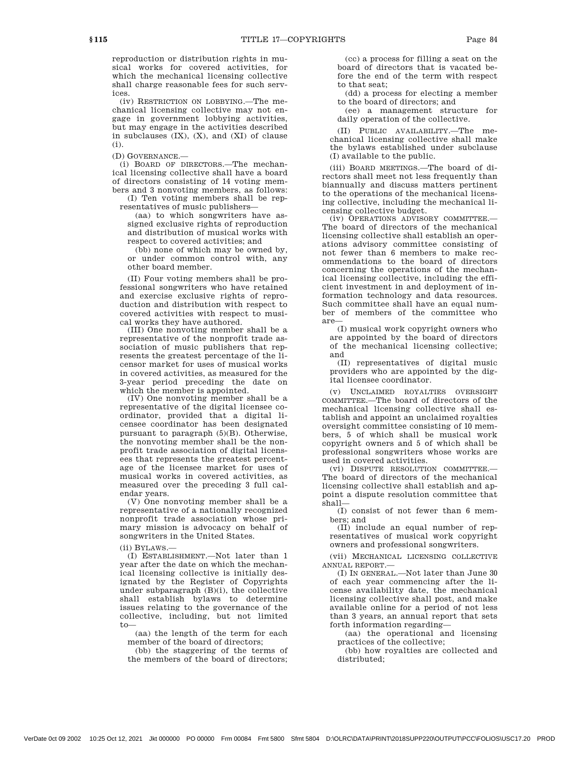reproduction or distribution rights in musical works for covered activities, for which the mechanical licensing collective shall charge reasonable fees for such services.

(iv) RESTRICTION ON LOBBYING.—The mechanical licensing collective may not engage in government lobbying activities, but may engage in the activities described in subclauses (IX), (X), and (XI) of clause (i).

(D) GOVERNANCE.—

(i) BOARD OF DIRECTORS.—The mechanical licensing collective shall have a board of directors consisting of 14 voting members and 3 nonvoting members, as follows:

(I) Ten voting members shall be representatives of music publishers—

(aa) to which songwriters have assigned exclusive rights of reproduction and distribution of musical works with respect to covered activities; and

(bb) none of which may be owned by, or under common control with, any other board member.

(II) Four voting members shall be professional songwriters who have retained and exercise exclusive rights of reproduction and distribution with respect to covered activities with respect to musical works they have authored.

(III) One nonvoting member shall be a representative of the nonprofit trade association of music publishers that represents the greatest percentage of the licensor market for uses of musical works in covered activities, as measured for the 3-year period preceding the date on which the member is appointed.

(IV) One nonvoting member shall be a representative of the digital licensee coordinator, provided that a digital licensee coordinator has been designated pursuant to paragraph (5)(B). Otherwise, the nonvoting member shall be the nonprofit trade association of digital licensees that represents the greatest percentage of the licensee market for uses of musical works in covered activities, as measured over the preceding 3 full calendar years.

(V) One nonvoting member shall be a representative of a nationally recognized nonprofit trade association whose primary mission is advocacy on behalf of songwriters in the United States.

(ii) BYLAWS.—

(I) ESTABLISHMENT.—Not later than 1 year after the date on which the mechanical licensing collective is initially designated by the Register of Copyrights under subparagraph (B)(i), the collective shall establish bylaws to determine issues relating to the governance of the collective, including, but not limited to—

(aa) the length of the term for each member of the board of directors;

(bb) the staggering of the terms of the members of the board of directors;

(cc) a process for filling a seat on the board of directors that is vacated before the end of the term with respect to that seat;

(dd) a process for electing a member to the board of directors; and

(ee) a management structure for daily operation of the collective.

(II) PUBLIC AVAILABILITY.—The mechanical licensing collective shall make the bylaws established under subclause (I) available to the public.

(iii) BOARD MEETINGS.—The board of directors shall meet not less frequently than biannually and discuss matters pertinent to the operations of the mechanical licensing collective, including the mechanical licensing collective budget.

(iv) OPERATIONS ADVISORY COMMITTEE.— The board of directors of the mechanical licensing collective shall establish an operations advisory committee consisting of not fewer than 6 members to make recommendations to the board of directors concerning the operations of the mechanical licensing collective, including the efficient investment in and deployment of information technology and data resources. Such committee shall have an equal number of members of the committee who are—

(I) musical work copyright owners who are appointed by the board of directors of the mechanical licensing collective; and

(II) representatives of digital music providers who are appointed by the digital licensee coordinator.

(v) UNCLAIMED ROYALTIES OVERSIGHT COMMITTEE.—The board of directors of the mechanical licensing collective shall establish and appoint an unclaimed royalties oversight committee consisting of 10 members, 5 of which shall be musical work copyright owners and 5 of which shall be professional songwriters whose works are used in covered activities.

(vi) DISPUTE RESOLUTION COMMITTEE.— The board of directors of the mechanical licensing collective shall establish and appoint a dispute resolution committee that shall—

(I) consist of not fewer than 6 members; and

(II) include an equal number of representatives of musical work copyright owners and professional songwriters.

(vii) MECHANICAL LICENSING COLLECTIVE ANNUAL REPORT.—

(I) IN GENERAL.—Not later than June 30 of each year commencing after the license availability date, the mechanical licensing collective shall post, and make available online for a period of not less than 3 years, an annual report that sets forth information regarding—

(aa) the operational and licensing practices of the collective;

(bb) how royalties are collected and distributed;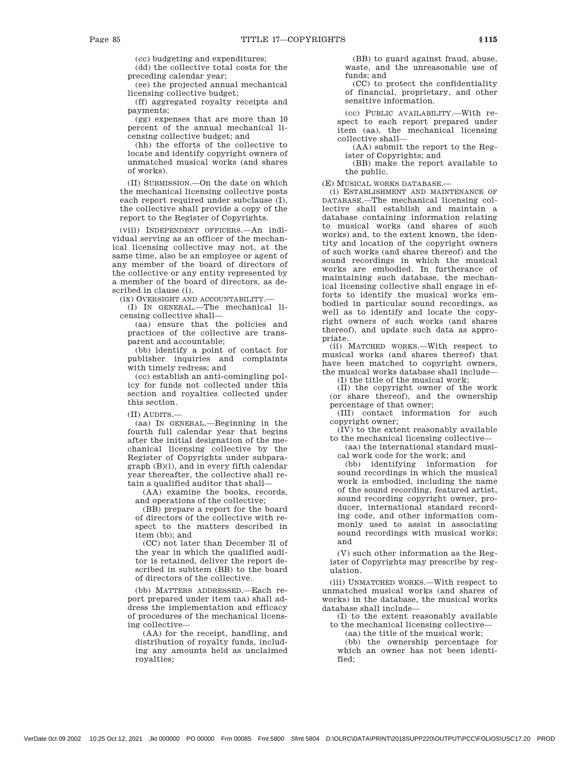(cc) budgeting and expenditures;

(dd) the collective total costs for the preceding calendar year;

(ee) the projected annual mechanical licensing collective budget;

(ff) aggregated royalty receipts and payments;

(gg) expenses that are more than 10 percent of the annual mechanical licensing collective budget; and

(hh) the efforts of the collective to locate and identify copyright owners of unmatched musical works (and shares of works).

(II) SUBMISSION.—On the date on which the mechanical licensing collective posts each report required under subclause (I), the collective shall provide a copy of the report to the Register of Copyrights.

(viii) INDEPENDENT OFFICERS.—An individual serving as an officer of the mechanical licensing collective may not, at the same time, also be an employee or agent of any member of the board of directors of the collective or any entity represented by a member of the board of directors, as described in clause (i).

(ix) OVERSIGHT AND ACCOUNTABILITY.—

(I) IN GENERAL.—The mechanical licensing collective shall—

(aa) ensure that the policies and practices of the collective are transparent and accountable;

(bb) identify a point of contact for publisher inquiries and complaints with timely redress; and

(cc) establish an anti-comingling policy for funds not collected under this section and royalties collected under this section.

(II) AUDITS.—

(aa) IN GENERAL.—Beginning in the fourth full calendar year that begins after the initial designation of the mechanical licensing collective by the Register of Copyrights under subparagraph (B)(i), and in every fifth calendar year thereafter, the collective shall retain a qualified auditor that shall—

(AA) examine the books, records, and operations of the collective;

(BB) prepare a report for the board of directors of the collective with respect to the matters described in item (bb); and

(CC) not later than December 31 of the year in which the qualified auditor is retained, deliver the report described in subitem (BB) to the board of directors of the collective.

(bb) MATTERS ADDRESSED.—Each report prepared under item (aa) shall address the implementation and efficacy of procedures of the mechanical licensing collective—

(AA) for the receipt, handling, and distribution of royalty funds, including any amounts held as unclaimed royalties;

(BB) to guard against fraud, abuse, waste, and the unreasonable use of funds; and

(CC) to protect the confidentiality of financial, proprietary, and other sensitive information.

(cc) PUBLIC AVAILABILITY.—With respect to each report prepared under item (aa), the mechanical licensing collective shall—

(AA) submit the report to the Register of Copyrights; and

(BB) make the report available to the public.

(E) MUSICAL WORKS DATABASE.—

(i) ESTABLISHMENT AND MAINTENANCE OF DATABASE.—The mechanical licensing collective shall establish and maintain a database containing information relating to musical works (and shares of such works) and, to the extent known, the identity and location of the copyright owners of such works (and shares thereof) and the sound recordings in which the musical works are embodied. In furtherance of maintaining such database, the mechanical licensing collective shall engage in efforts to identify the musical works embodied in particular sound recordings, as well as to identify and locate the copyright owners of such works (and shares thereof), and update such data as appropriate.

(ii) MATCHED WORKS.—With respect to musical works (and shares thereof) that have been matched to copyright owners, the musical works database shall include—

(I) the title of the musical work;

(II) the copyright owner of the work (or share thereof), and the ownership percentage of that owner;

(III) contact information for such copyright owner;

(IV) to the extent reasonably available to the mechanical licensing collective—

(aa) the international standard musical work code for the work; and

(bb) identifying information for sound recordings in which the musical work is embodied, including the name of the sound recording, featured artist, sound recording copyright owner, producer, international standard recording code, and other information commonly used to assist in associating sound recordings with musical works; and

(V) such other information as the Register of Copyrights may prescribe by regulation.

(iii) UNMATCHED WORKS.—With respect to unmatched musical works (and shares of works) in the database, the musical works database shall include—

(I) to the extent reasonably available to the mechanical licensing collective—

(aa) the title of the musical work;

(bb) the ownership percentage for which an owner has not been identified;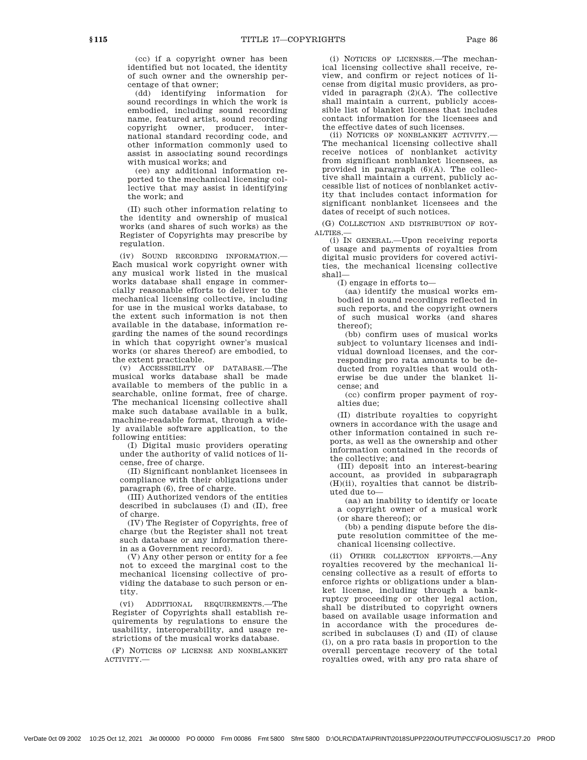(cc) if a copyright owner has been identified but not located, the identity of such owner and the ownership percentage of that owner;

(dd) identifying information for sound recordings in which the work is embodied, including sound recording name, featured artist, sound recording copyright owner, producer, international standard recording code, and other information commonly used to assist in associating sound recordings with musical works; and

(ee) any additional information reported to the mechanical licensing collective that may assist in identifying the work; and

(II) such other information relating to the identity and ownership of musical works (and shares of such works) as the Register of Copyrights may prescribe by regulation.

(iv) SOUND RECORDING INFORMATION.— Each musical work copyright owner with any musical work listed in the musical works database shall engage in commercially reasonable efforts to deliver to the mechanical licensing collective, including for use in the musical works database, to the extent such information is not then available in the database, information regarding the names of the sound recordings in which that copyright owner's musical works (or shares thereof) are embodied, to the extent practicable.

(v) ACCESSIBILITY OF DATABASE.—The musical works database shall be made available to members of the public in a searchable, online format, free of charge. The mechanical licensing collective shall make such database available in a bulk, machine-readable format, through a widely available software application, to the following entities:

(I) Digital music providers operating under the authority of valid notices of license, free of charge.

(II) Significant nonblanket licensees in compliance with their obligations under paragraph (6), free of charge.

(III) Authorized vendors of the entities described in subclauses (I) and (II), free of charge.

(IV) The Register of Copyrights, free of charge (but the Register shall not treat such database or any information therein as a Government record).

(V) Any other person or entity for a fee not to exceed the marginal cost to the mechanical licensing collective of providing the database to such person or entity.

(vi) ADDITIONAL REQUIREMENTS.—The Register of Copyrights shall establish requirements by regulations to ensure the usability, interoperability, and usage restrictions of the musical works database.

(F) NOTICES OF LICENSE AND NONBLANKET ACTIVITY.—

(i) NOTICES OF LICENSES.—The mechanical licensing collective shall receive, review, and confirm or reject notices of license from digital music providers, as provided in paragraph (2)(A). The collective shall maintain a current, publicly accessible list of blanket licenses that includes contact information for the licensees and the effective dates of such licenses.

(ii) NOTICES OF NONBLANKET ACTIVITY.— The mechanical licensing collective shall receive notices of nonblanket activity from significant nonblanket licensees, as provided in paragraph (6)(A). The collective shall maintain a current, publicly accessible list of notices of nonblanket activity that includes contact information for significant nonblanket licensees and the dates of receipt of such notices.

(G) COLLECTION AND DISTRIBUTION OF ROY-ALTIES.—

(i) IN GENERAL.—Upon receiving reports of usage and payments of royalties from digital music providers for covered activities, the mechanical licensing collective shall—

(I) engage in efforts to—

(aa) identify the musical works embodied in sound recordings reflected in such reports, and the copyright owners of such musical works (and shares thereof);

(bb) confirm uses of musical works subject to voluntary licenses and individual download licenses, and the corresponding pro rata amounts to be deducted from royalties that would otherwise be due under the blanket license; and

(cc) confirm proper payment of royalties due;

(II) distribute royalties to copyright owners in accordance with the usage and other information contained in such reports, as well as the ownership and other information contained in the records of the collective; and

(III) deposit into an interest-bearing account, as provided in subparagraph (H)(ii), royalties that cannot be distributed due to—

(aa) an inability to identify or locate a copyright owner of a musical work (or share thereof); or

(bb) a pending dispute before the dispute resolution committee of the mechanical licensing collective.

(ii) OTHER COLLECTION EFFORTS.—Any royalties recovered by the mechanical licensing collective as a result of efforts to enforce rights or obligations under a blanket license, including through a bankruptcy proceeding or other legal action, shall be distributed to copyright owners based on available usage information and in accordance with the procedures described in subclauses (I) and (II) of clause (i), on a pro rata basis in proportion to the overall percentage recovery of the total royalties owed, with any pro rata share of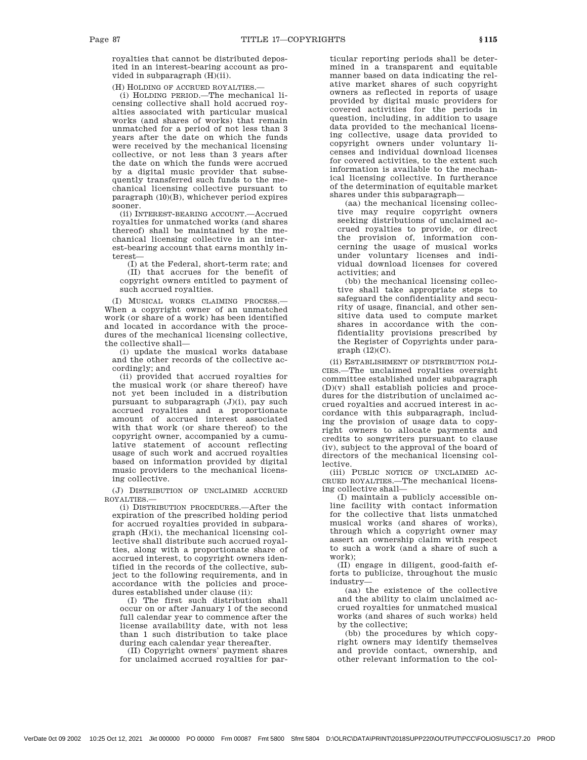royalties that cannot be distributed deposited in an interest-bearing account as provided in subparagraph (H)(ii).

(H) HOLDING OF ACCRUED ROYALTIES.—

(i) HOLDING PERIOD.—The mechanical licensing collective shall hold accrued royalties associated with particular musical works (and shares of works) that remain unmatched for a period of not less than 3 years after the date on which the funds were received by the mechanical licensing collective, or not less than 3 years after the date on which the funds were accrued by a digital music provider that subsequently transferred such funds to the mechanical licensing collective pursuant to paragraph (10)(B), whichever period expires sooner.

(ii) INTEREST-BEARING ACCOUNT.—Accrued royalties for unmatched works (and shares thereof) shall be maintained by the mechanical licensing collective in an interest-bearing account that earns monthly interest—

(I) at the Federal, short-term rate; and (II) that accrues for the benefit of copyright owners entitled to payment of such accrued royalties.

(I) MUSICAL WORKS CLAIMING PROCESS.— When a copyright owner of an unmatched work (or share of a work) has been identified and located in accordance with the procedures of the mechanical licensing collective, the collective shall—

(i) update the musical works database and the other records of the collective accordingly; and

(ii) provided that accrued royalties for the musical work (or share thereof) have not yet been included in a distribution pursuant to subparagraph (J)(i), pay such accrued royalties and a proportionate amount of accrued interest associated with that work (or share thereof) to the copyright owner, accompanied by a cumulative statement of account reflecting usage of such work and accrued royalties based on information provided by digital music providers to the mechanical licensing collective.

(J) DISTRIBUTION OF UNCLAIMED ACCRUED ROYALTIES.—

(i) DISTRIBUTION PROCEDURES.—After the expiration of the prescribed holding period for accrued royalties provided in subparagraph (H)(i), the mechanical licensing collective shall distribute such accrued royalties, along with a proportionate share of accrued interest, to copyright owners identified in the records of the collective, subject to the following requirements, and in accordance with the policies and procedures established under clause (ii):

(I) The first such distribution shall occur on or after January 1 of the second full calendar year to commence after the license availability date, with not less than 1 such distribution to take place during each calendar year thereafter.

(II) Copyright owners' payment shares for unclaimed accrued royalties for particular reporting periods shall be determined in a transparent and equitable manner based on data indicating the relative market shares of such copyright owners as reflected in reports of usage provided by digital music providers for covered activities for the periods in question, including, in addition to usage data provided to the mechanical licensing collective, usage data provided to copyright owners under voluntary licenses and individual download licenses for covered activities, to the extent such information is available to the mechanical licensing collective. In furtherance of the determination of equitable market shares under this subparagraph—

(aa) the mechanical licensing collective may require copyright owners seeking distributions of unclaimed accrued royalties to provide, or direct the provision of, information concerning the usage of musical works under voluntary licenses and individual download licenses for covered activities; and

(bb) the mechanical licensing collective shall take appropriate steps to safeguard the confidentiality and security of usage, financial, and other sensitive data used to compute market shares in accordance with the confidentiality provisions prescribed by the Register of Copyrights under para $graph (12)(C)$ .

(ii) ESTABLISHMENT OF DISTRIBUTION POLI-CIES.—The unclaimed royalties oversight committee established under subparagraph  $(D)(v)$  shall establish policies and procedures for the distribution of unclaimed accrued royalties and accrued interest in accordance with this subparagraph, including the provision of usage data to copyright owners to allocate payments and credits to songwriters pursuant to clause (iv), subject to the approval of the board of directors of the mechanical licensing collective.

(iii) PUBLIC NOTICE OF UNCLAIMED AC-CRUED ROYALTIES.—The mechanical licensing collective shall—

(I) maintain a publicly accessible online facility with contact information for the collective that lists unmatched musical works (and shares of works), through which a copyright owner may assert an ownership claim with respect to such a work (and a share of such a work);

(II) engage in diligent, good-faith efforts to publicize, throughout the music industry—

(aa) the existence of the collective and the ability to claim unclaimed accrued royalties for unmatched musical works (and shares of such works) held by the collective;

(bb) the procedures by which copyright owners may identify themselves and provide contact, ownership, and other relevant information to the col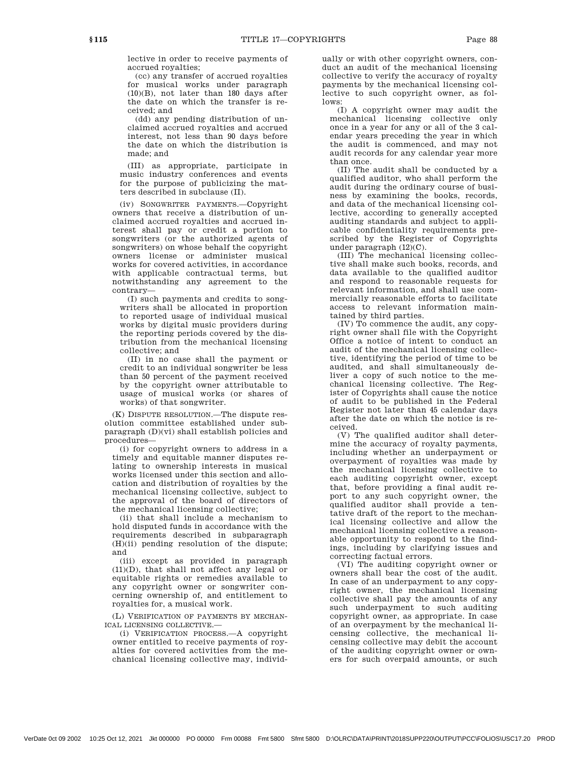lective in order to receive payments of accrued royalties;

(cc) any transfer of accrued royalties for musical works under paragraph (10)(B), not later than 180 days after the date on which the transfer is received; and

(dd) any pending distribution of unclaimed accrued royalties and accrued interest, not less than 90 days before the date on which the distribution is made; and

(III) as appropriate, participate in music industry conferences and events for the purpose of publicizing the matters described in subclause (II).

(iv) SONGWRITER PAYMENTS.—Copyright owners that receive a distribution of unclaimed accrued royalties and accrued interest shall pay or credit a portion to songwriters (or the authorized agents of songwriters) on whose behalf the copyright owners license or administer musical works for covered activities, in accordance with applicable contractual terms, but notwithstanding any agreement to the contrary—

(I) such payments and credits to songwriters shall be allocated in proportion to reported usage of individual musical works by digital music providers during the reporting periods covered by the distribution from the mechanical licensing collective; and

(II) in no case shall the payment or credit to an individual songwriter be less than 50 percent of the payment received by the copyright owner attributable to usage of musical works (or shares of works) of that songwriter.

(K) DISPUTE RESOLUTION.—The dispute resolution committee established under subparagraph (D)(vi) shall establish policies and procedures—

(i) for copyright owners to address in a timely and equitable manner disputes relating to ownership interests in musical works licensed under this section and allocation and distribution of royalties by the mechanical licensing collective, subject to the approval of the board of directors of the mechanical licensing collective;

(ii) that shall include a mechanism to hold disputed funds in accordance with the requirements described in subparagraph (H)(ii) pending resolution of the dispute; and

(iii) except as provided in paragraph (11)(D), that shall not affect any legal or equitable rights or remedies available to any copyright owner or songwriter concerning ownership of, and entitlement to royalties for, a musical work.

(L) VERIFICATION OF PAYMENTS BY MECHAN-ICAL LICENSING COLLECTIVE.—

(i) VERIFICATION PROCESS.—A copyright owner entitled to receive payments of royalties for covered activities from the mechanical licensing collective may, individually or with other copyright owners, conduct an audit of the mechanical licensing collective to verify the accuracy of royalty payments by the mechanical licensing collective to such copyright owner, as follows:

(I) A copyright owner may audit the mechanical licensing collective only once in a year for any or all of the 3 calendar years preceding the year in which the audit is commenced, and may not audit records for any calendar year more than once.

(II) The audit shall be conducted by a qualified auditor, who shall perform the audit during the ordinary course of business by examining the books, records, and data of the mechanical licensing collective, according to generally accepted auditing standards and subject to applicable confidentiality requirements prescribed by the Register of Copyrights under paragraph (12)(C).

(III) The mechanical licensing collective shall make such books, records, and data available to the qualified auditor and respond to reasonable requests for relevant information, and shall use commercially reasonable efforts to facilitate access to relevant information maintained by third parties.

(IV) To commence the audit, any copyright owner shall file with the Copyright Office a notice of intent to conduct an audit of the mechanical licensing collective, identifying the period of time to be audited, and shall simultaneously deliver a copy of such notice to the mechanical licensing collective. The Register of Copyrights shall cause the notice of audit to be published in the Federal Register not later than 45 calendar days after the date on which the notice is received.

(V) The qualified auditor shall determine the accuracy of royalty payments, including whether an underpayment or overpayment of royalties was made by the mechanical licensing collective to each auditing copyright owner, except that, before providing a final audit report to any such copyright owner, the qualified auditor shall provide a tentative draft of the report to the mechanical licensing collective and allow the mechanical licensing collective a reasonable opportunity to respond to the findings, including by clarifying issues and correcting factual errors.

(VI) The auditing copyright owner or owners shall bear the cost of the audit. In case of an underpayment to any copyright owner, the mechanical licensing collective shall pay the amounts of any such underpayment to such auditing copyright owner, as appropriate. In case of an overpayment by the mechanical licensing collective, the mechanical licensing collective may debit the account of the auditing copyright owner or owners for such overpaid amounts, or such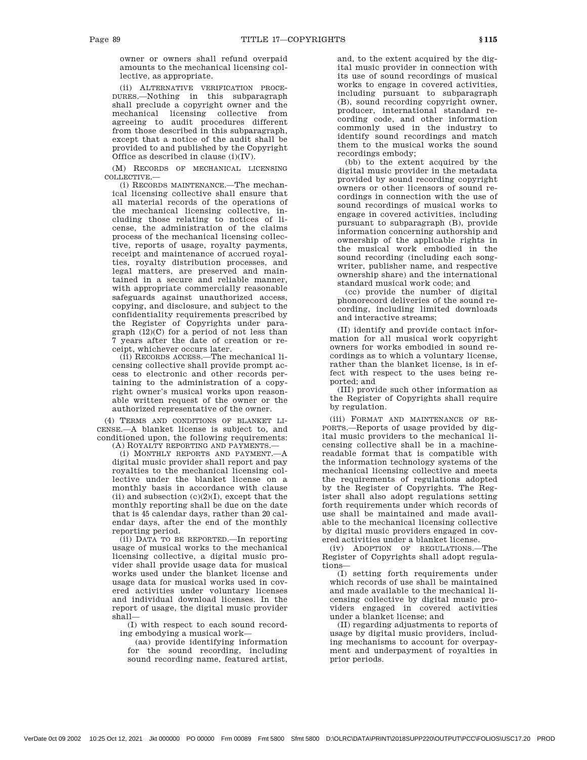owner or owners shall refund overpaid amounts to the mechanical licensing collective, as appropriate.

(ii) ALTERNATIVE VERIFICATION PROCE-DURES.—Nothing in this subparagraph shall preclude a copyright owner and the mechanical licensing collective from agreeing to audit procedures different from those described in this subparagraph, except that a notice of the audit shall be provided to and published by the Copyright Office as described in clause  $(i)(IV)$ .

(M) RECORDS OF MECHANICAL LICENSING COLLECTIVE.—

(i) RECORDS MAINTENANCE.—The mechanical licensing collective shall ensure that all material records of the operations of the mechanical licensing collective, including those relating to notices of license, the administration of the claims process of the mechanical licensing collective, reports of usage, royalty payments, receipt and maintenance of accrued royalties, royalty distribution processes, and legal matters, are preserved and maintained in a secure and reliable manner, with appropriate commercially reasonable safeguards against unauthorized access, copying, and disclosure, and subject to the confidentiality requirements prescribed by the Register of Copyrights under paragraph (12)(C) for a period of not less than 7 years after the date of creation or receipt, whichever occurs later.

(ii) RECORDS ACCESS.—The mechanical licensing collective shall provide prompt access to electronic and other records pertaining to the administration of a copyright owner's musical works upon reasonable written request of the owner or the authorized representative of the owner.

(4) TERMS AND CONDITIONS OF BLANKET LI-CENSE.—A blanket license is subject to, and conditioned upon, the following requirements: (A) ROYALTY REPORTING AND PAYMENTS.—

(i) MONTHLY REPORTS AND PAYMENT.—A digital music provider shall report and pay royalties to the mechanical licensing collective under the blanket license on a monthly basis in accordance with clause (ii) and subsection  $(c)(2)(I)$ , except that the monthly reporting shall be due on the date that is 45 calendar days, rather than 20 calendar days, after the end of the monthly reporting period.

(ii) DATA TO BE REPORTED.—In reporting usage of musical works to the mechanical licensing collective, a digital music provider shall provide usage data for musical works used under the blanket license and usage data for musical works used in covered activities under voluntary licenses and individual download licenses. In the report of usage, the digital music provider shall—

(I) with respect to each sound recording embodying a musical work—

(aa) provide identifying information for the sound recording, including sound recording name, featured artist, and, to the extent acquired by the digital music provider in connection with its use of sound recordings of musical works to engage in covered activities, including pursuant to subparagraph (B), sound recording copyright owner, producer, international standard recording code, and other information commonly used in the industry to identify sound recordings and match them to the musical works the sound recordings embody;

(bb) to the extent acquired by the digital music provider in the metadata provided by sound recording copyright owners or other licensors of sound recordings in connection with the use of sound recordings of musical works to engage in covered activities, including pursuant to subparagraph (B), provide information concerning authorship and ownership of the applicable rights in the musical work embodied in the sound recording (including each songwriter, publisher name, and respective ownership share) and the international standard musical work code; and

(cc) provide the number of digital phonorecord deliveries of the sound recording, including limited downloads and interactive streams;

(II) identify and provide contact information for all musical work copyright owners for works embodied in sound recordings as to which a voluntary license, rather than the blanket license, is in effect with respect to the uses being reported; and

(III) provide such other information as the Register of Copyrights shall require by regulation.

(iii) FORMAT AND MAINTENANCE OF RE-PORTS.—Reports of usage provided by digital music providers to the mechanical licensing collective shall be in a machinereadable format that is compatible with the information technology systems of the mechanical licensing collective and meets the requirements of regulations adopted by the Register of Copyrights. The Register shall also adopt regulations setting forth requirements under which records of use shall be maintained and made available to the mechanical licensing collective by digital music providers engaged in covered activities under a blanket license.

(iv) ADOPTION OF REGULATIONS.—The Register of Copyrights shall adopt regulations—

(I) setting forth requirements under which records of use shall be maintained and made available to the mechanical licensing collective by digital music providers engaged in covered activities under a blanket license; and

(II) regarding adjustments to reports of usage by digital music providers, including mechanisms to account for overpayment and underpayment of royalties in prior periods.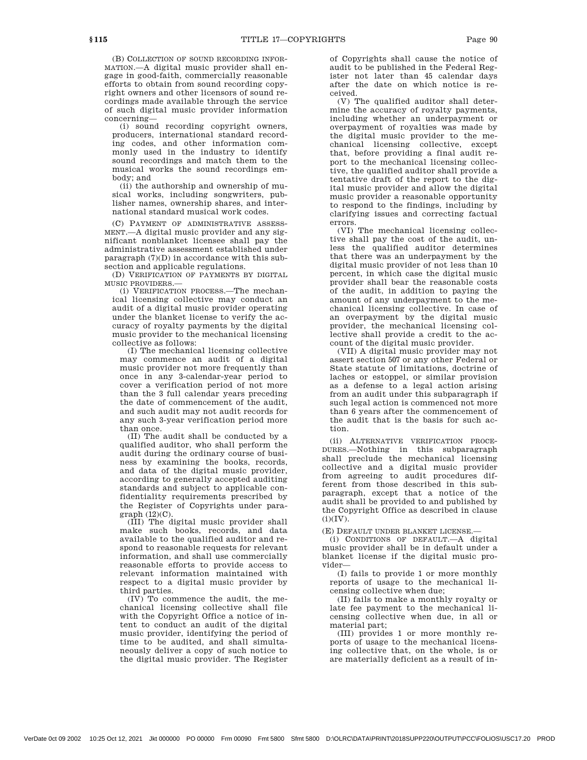(B) COLLECTION OF SOUND RECORDING INFOR-MATION.—A digital music provider shall engage in good-faith, commercially reasonable efforts to obtain from sound recording copyright owners and other licensors of sound recordings made available through the service of such digital music provider information concerning—

(i) sound recording copyright owners, producers, international standard recording codes, and other information commonly used in the industry to identify sound recordings and match them to the musical works the sound recordings embody; and

(ii) the authorship and ownership of musical works, including songwriters, publisher names, ownership shares, and international standard musical work codes.

(C) PAYMENT OF ADMINISTRATIVE ASSESS-MENT.—A digital music provider and any significant nonblanket licensee shall pay the administrative assessment established under paragraph  $(7)(D)$  in accordance with this subsection and applicable regulations.

(D) VERIFICATION OF PAYMENTS BY DIGITAL MUSIC PROVIDERS.—

(i) VERIFICATION PROCESS.—The mechanical licensing collective may conduct an audit of a digital music provider operating under the blanket license to verify the accuracy of royalty payments by the digital music provider to the mechanical licensing collective as follows:

(I) The mechanical licensing collective may commence an audit of a digital music provider not more frequently than once in any 3-calendar-year period to cover a verification period of not more than the 3 full calendar years preceding the date of commencement of the audit, and such audit may not audit records for any such 3-year verification period more than once.

(II) The audit shall be conducted by a qualified auditor, who shall perform the audit during the ordinary course of business by examining the books, records, and data of the digital music provider, according to generally accepted auditing standards and subject to applicable confidentiality requirements prescribed by the Register of Copyrights under para $graph (12)(C)$ .

(III) The digital music provider shall make such books, records, and data available to the qualified auditor and respond to reasonable requests for relevant information, and shall use commercially reasonable efforts to provide access to relevant information maintained with respect to a digital music provider by third parties.

(IV) To commence the audit, the mechanical licensing collective shall file with the Copyright Office a notice of intent to conduct an audit of the digital music provider, identifying the period of time to be audited, and shall simultaneously deliver a copy of such notice to the digital music provider. The Register

of Copyrights shall cause the notice of audit to be published in the Federal Register not later than 45 calendar days after the date on which notice is received.

(V) The qualified auditor shall determine the accuracy of royalty payments, including whether an underpayment or overpayment of royalties was made by the digital music provider to the mechanical licensing collective, except that, before providing a final audit report to the mechanical licensing collective, the qualified auditor shall provide a tentative draft of the report to the digital music provider and allow the digital music provider a reasonable opportunity to respond to the findings, including by clarifying issues and correcting factual errors.

(VI) The mechanical licensing collective shall pay the cost of the audit, unless the qualified auditor determines that there was an underpayment by the digital music provider of not less than 10 percent, in which case the digital music provider shall bear the reasonable costs of the audit, in addition to paying the amount of any underpayment to the mechanical licensing collective. In case of an overpayment by the digital music provider, the mechanical licensing collective shall provide a credit to the account of the digital music provider.

(VII) A digital music provider may not assert section 507 or any other Federal or State statute of limitations, doctrine of laches or estoppel, or similar provision as a defense to a legal action arising from an audit under this subparagraph if such legal action is commenced not more than 6 years after the commencement of the audit that is the basis for such action.

(ii) ALTERNATIVE VERIFICATION PROCE-DURES.—Nothing in this subparagraph shall preclude the mechanical licensing collective and a digital music provider from agreeing to audit procedures different from those described in this subparagraph, except that a notice of the audit shall be provided to and published by the Copyright Office as described in clause  $(i)(IV).$ 

(E) DEFAULT UNDER BLANKET LICENSE.

(i) CONDITIONS OF DEFAULT.—A digital music provider shall be in default under a blanket license if the digital music provider—

(I) fails to provide 1 or more monthly reports of usage to the mechanical licensing collective when due;

(II) fails to make a monthly royalty or late fee payment to the mechanical licensing collective when due, in all or material part;

(III) provides 1 or more monthly reports of usage to the mechanical licensing collective that, on the whole, is or are materially deficient as a result of in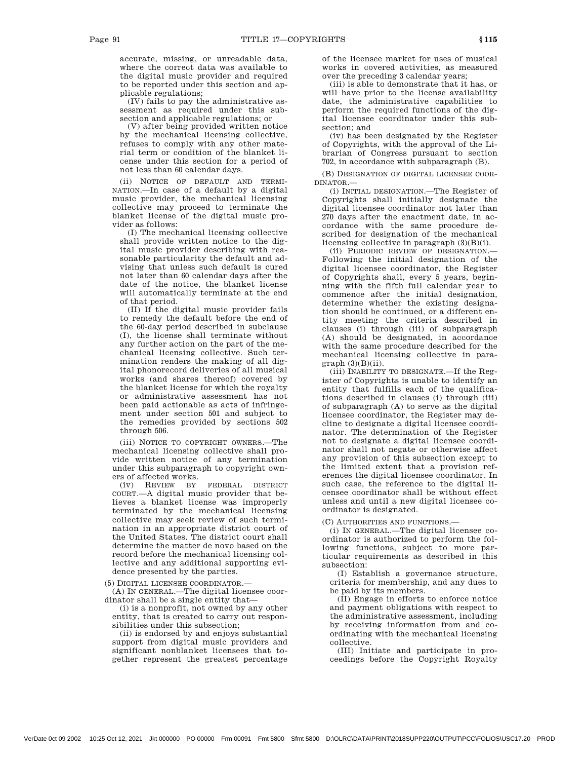accurate, missing, or unreadable data, where the correct data was available to the digital music provider and required to be reported under this section and applicable regulations;

(IV) fails to pay the administrative assessment as required under this subsection and applicable regulations; or

(V) after being provided written notice by the mechanical licensing collective, refuses to comply with any other material term or condition of the blanket license under this section for a period of not less than 60 calendar days.

(ii) NOTICE OF DEFAULT AND TERMI-NATION.—In case of a default by a digital music provider, the mechanical licensing collective may proceed to terminate the blanket license of the digital music provider as follows:

(I) The mechanical licensing collective shall provide written notice to the digital music provider describing with reasonable particularity the default and advising that unless such default is cured not later than 60 calendar days after the date of the notice, the blanket license will automatically terminate at the end of that period.

(II) If the digital music provider fails to remedy the default before the end of the 60-day period described in subclause (I), the license shall terminate without any further action on the part of the mechanical licensing collective. Such termination renders the making of all digital phonorecord deliveries of all musical works (and shares thereof) covered by the blanket license for which the royalty or administrative assessment has not been paid actionable as acts of infringement under section 501 and subject to the remedies provided by sections 502 through 506.

(iii) NOTICE TO COPYRIGHT OWNERS.—The mechanical licensing collective shall provide written notice of any termination under this subparagraph to copyright owners of affected works.

(iv) REVIEW BY FEDERAL DISTRICT COURT.—A digital music provider that believes a blanket license was improperly terminated by the mechanical licensing collective may seek review of such termination in an appropriate district court of the United States. The district court shall determine the matter de novo based on the record before the mechanical licensing collective and any additional supporting evidence presented by the parties.

(5) DIGITAL LICENSEE COORDINATOR.—

(A) IN GENERAL.—The digital licensee coordinator shall be a single entity that—

(i) is a nonprofit, not owned by any other entity, that is created to carry out responsibilities under this subsection;

(ii) is endorsed by and enjoys substantial support from digital music providers and significant nonblanket licensees that together represent the greatest percentage

of the licensee market for uses of musical works in covered activities, as measured over the preceding 3 calendar years;

(iii) is able to demonstrate that it has, or will have prior to the license availability date, the administrative capabilities to perform the required functions of the digital licensee coordinator under this subsection; and

(iv) has been designated by the Register of Copyrights, with the approval of the Librarian of Congress pursuant to section 702, in accordance with subparagraph (B).

(B) DESIGNATION OF DIGITAL LICENSEE COOR-DINATOR.—

(i) INITIAL DESIGNATION.—The Register of Copyrights shall initially designate the digital licensee coordinator not later than 270 days after the enactment date, in accordance with the same procedure described for designation of the mechanical licensing collective in paragraph (3)(B)(i).

(ii) PERIODIC REVIEW OF DESIGNATION.— Following the initial designation of the digital licensee coordinator, the Register of Copyrights shall, every 5 years, beginning with the fifth full calendar year to commence after the initial designation, determine whether the existing designation should be continued, or a different entity meeting the criteria described in clauses (i) through (iii) of subparagraph (A) should be designated, in accordance with the same procedure described for the mechanical licensing collective in para $graph (3)(B)(ii)$ .

(iii) INABILITY TO DESIGNATE.—If the Register of Copyrights is unable to identify an entity that fulfills each of the qualifications described in clauses (i) through (iii) of subparagraph (A) to serve as the digital licensee coordinator, the Register may decline to designate a digital licensee coordinator. The determination of the Register not to designate a digital licensee coordinator shall not negate or otherwise affect any provision of this subsection except to the limited extent that a provision references the digital licensee coordinator. In such case, the reference to the digital licensee coordinator shall be without effect unless and until a new digital licensee coordinator is designated.

(C) AUTHORITIES AND FUNCTIONS.—

(i) IN GENERAL.—The digital licensee coordinator is authorized to perform the following functions, subject to more particular requirements as described in this subsection:

(I) Establish a governance structure, criteria for membership, and any dues to be paid by its members.

(II) Engage in efforts to enforce notice and payment obligations with respect to the administrative assessment, including by receiving information from and coordinating with the mechanical licensing collective.

(III) Initiate and participate in proceedings before the Copyright Royalty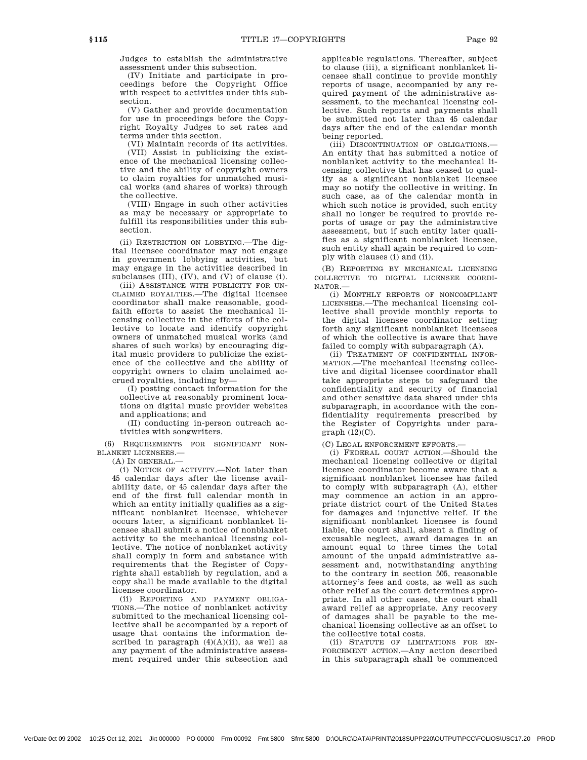Judges to establish the administrative assessment under this subsection.

(IV) Initiate and participate in proceedings before the Copyright Office with respect to activities under this subsection.

(V) Gather and provide documentation for use in proceedings before the Copyright Royalty Judges to set rates and terms under this section.

(VI) Maintain records of its activities. (VII) Assist in publicizing the existence of the mechanical licensing collective and the ability of copyright owners to claim royalties for unmatched musical works (and shares of works) through the collective.

(VIII) Engage in such other activities as may be necessary or appropriate to fulfill its responsibilities under this subsection.

(ii) RESTRICTION ON LOBBYING.—The digital licensee coordinator may not engage in government lobbying activities, but may engage in the activities described in subclauses (III), (IV), and (V) of clause (i).

(iii) ASSISTANCE WITH PUBLICITY FOR UN-CLAIMED ROYALTIES.—The digital licensee coordinator shall make reasonable, goodfaith efforts to assist the mechanical licensing collective in the efforts of the collective to locate and identify copyright owners of unmatched musical works (and shares of such works) by encouraging digital music providers to publicize the existence of the collective and the ability of copyright owners to claim unclaimed accrued royalties, including by—

(I) posting contact information for the collective at reasonably prominent locations on digital music provider websites and applications; and

(II) conducting in-person outreach activities with songwriters.

(6) REQUIREMENTS FOR SIGNIFICANT NON-BLANKET LICENSEES.—

(A) IN GENERAL.—

(i) NOTICE OF ACTIVITY.—Not later than 45 calendar days after the license availability date, or 45 calendar days after the end of the first full calendar month in which an entity initially qualifies as a significant nonblanket licensee, whichever occurs later, a significant nonblanket licensee shall submit a notice of nonblanket activity to the mechanical licensing collective. The notice of nonblanket activity shall comply in form and substance with requirements that the Register of Copyrights shall establish by regulation, and a copy shall be made available to the digital licensee coordinator.

(ii) REPORTING AND PAYMENT OBLIGA-TIONS.—The notice of nonblanket activity submitted to the mechanical licensing collective shall be accompanied by a report of usage that contains the information described in paragraph (4)(A)(ii), as well as any payment of the administrative assessment required under this subsection and

applicable regulations. Thereafter, subject to clause (iii), a significant nonblanket licensee shall continue to provide monthly reports of usage, accompanied by any required payment of the administrative assessment, to the mechanical licensing collective. Such reports and payments shall be submitted not later than 45 calendar days after the end of the calendar month being reported.

(iii) DISCONTINUATION OF OBLIGATIONS.— An entity that has submitted a notice of nonblanket activity to the mechanical licensing collective that has ceased to qualify as a significant nonblanket licensee may so notify the collective in writing. In such case, as of the calendar month in which such notice is provided, such entity shall no longer be required to provide reports of usage or pay the administrative assessment, but if such entity later qualifies as a significant nonblanket licensee, such entity shall again be required to comply with clauses (i) and (ii).

(B) REPORTING BY MECHANICAL LICENSING COLLECTIVE TO DIGITAL LICENSEE COORDI-NATOR.—

(i) MONTHLY REPORTS OF NONCOMPLIANT LICENSEES.—The mechanical licensing collective shall provide monthly reports to the digital licensee coordinator setting forth any significant nonblanket licensees of which the collective is aware that have failed to comply with subparagraph (A).

(ii) TREATMENT OF CONFIDENTIAL INFOR-MATION.—The mechanical licensing collective and digital licensee coordinator shall take appropriate steps to safeguard the confidentiality and security of financial and other sensitive data shared under this subparagraph, in accordance with the confidentiality requirements prescribed by the Register of Copyrights under paragraph (12)(C).

(C) LEGAL ENFORCEMENT EFFORTS.—

(i) FEDERAL COURT ACTION.—Should the mechanical licensing collective or digital licensee coordinator become aware that a significant nonblanket licensee has failed to comply with subparagraph (A), either may commence an action in an appropriate district court of the United States for damages and injunctive relief. If the significant nonblanket licensee is found liable, the court shall, absent a finding of excusable neglect, award damages in an amount equal to three times the total amount of the unpaid administrative assessment and, notwithstanding anything to the contrary in section 505, reasonable attorney's fees and costs, as well as such other relief as the court determines appropriate. In all other cases, the court shall award relief as appropriate. Any recovery of damages shall be payable to the mechanical licensing collective as an offset to the collective total costs.

(ii) STATUTE OF LIMITATIONS FOR EN-FORCEMENT ACTION.—Any action described in this subparagraph shall be commenced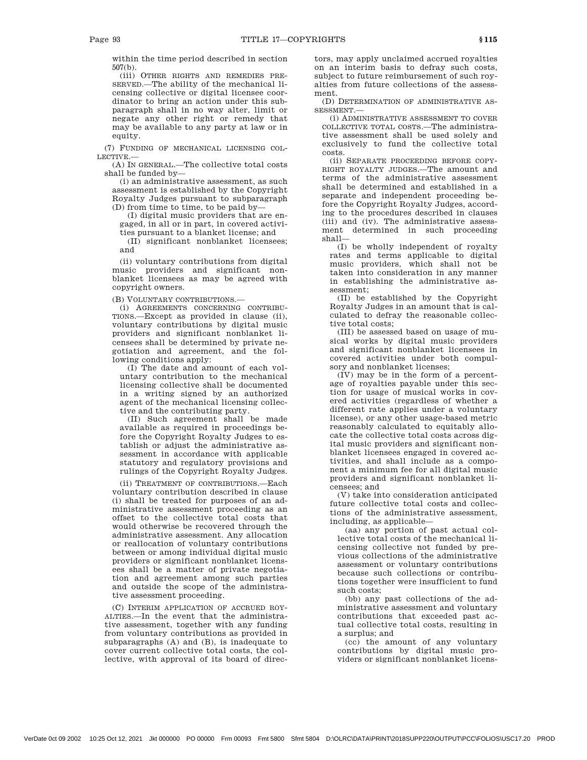within the time period described in section 507(b).

(iii) OTHER RIGHTS AND REMEDIES PRE-SERVED.—The ability of the mechanical licensing collective or digital licensee coordinator to bring an action under this subparagraph shall in no way alter, limit or negate any other right or remedy that may be available to any party at law or in equity.

(7) FUNDING OF MECHANICAL LICENSING COL-LECTIVE.—

(A) IN GENERAL.—The collective total costs shall be funded by—

(i) an administrative assessment, as such assessment is established by the Copyright Royalty Judges pursuant to subparagraph (D) from time to time, to be paid by—

(I) digital music providers that are engaged, in all or in part, in covered activities pursuant to a blanket license; and

(II) significant nonblanket licensees; and

(ii) voluntary contributions from digital music providers and significant nonblanket licensees as may be agreed with copyright owners.

(B) VOLUNTARY CONTRIBUTIONS.—

(i) AGREEMENTS CONCERNING CONTRIBU-TIONS.—Except as provided in clause (ii), voluntary contributions by digital music providers and significant nonblanket licensees shall be determined by private negotiation and agreement, and the following conditions apply:

(I) The date and amount of each voluntary contribution to the mechanical licensing collective shall be documented in a writing signed by an authorized agent of the mechanical licensing collective and the contributing party.

(II) Such agreement shall be made available as required in proceedings before the Copyright Royalty Judges to establish or adjust the administrative assessment in accordance with applicable statutory and regulatory provisions and rulings of the Copyright Royalty Judges.

(ii) TREATMENT OF CONTRIBUTIONS.—Each voluntary contribution described in clause (i) shall be treated for purposes of an administrative assessment proceeding as an offset to the collective total costs that would otherwise be recovered through the administrative assessment. Any allocation or reallocation of voluntary contributions between or among individual digital music providers or significant nonblanket licensees shall be a matter of private negotiation and agreement among such parties and outside the scope of the administrative assessment proceeding.

(C) INTERIM APPLICATION OF ACCRUED ROY-ALTIES.—In the event that the administrative assessment, together with any funding from voluntary contributions as provided in subparagraphs (A) and (B), is inadequate to cover current collective total costs, the collective, with approval of its board of directors, may apply unclaimed accrued royalties on an interim basis to defray such costs, subject to future reimbursement of such royalties from future collections of the assessment.

(D) DETERMINATION OF ADMINISTRATIVE AS-SESSMENT.—

(i) ADMINISTRATIVE ASSESSMENT TO COVER COLLECTIVE TOTAL COSTS.—The administrative assessment shall be used solely and exclusively to fund the collective total costs.

(ii) SEPARATE PROCEEDING BEFORE COPY-RIGHT ROYALTY JUDGES.—The amount and terms of the administrative assessment shall be determined and established in a separate and independent proceeding before the Copyright Royalty Judges, according to the procedures described in clauses (iii) and (iv). The administrative assessment determined in such proceeding shall—

(I) be wholly independent of royalty rates and terms applicable to digital music providers, which shall not be taken into consideration in any manner in establishing the administrative assessment;

(II) be established by the Copyright Royalty Judges in an amount that is calculated to defray the reasonable collective total costs;

(III) be assessed based on usage of musical works by digital music providers and significant nonblanket licensees in covered activities under both compulsory and nonblanket licenses;

(IV) may be in the form of a percentage of royalties payable under this section for usage of musical works in covered activities (regardless of whether a different rate applies under a voluntary license), or any other usage-based metric reasonably calculated to equitably allocate the collective total costs across digital music providers and significant nonblanket licensees engaged in covered activities, and shall include as a component a minimum fee for all digital music providers and significant nonblanket licensees; and

(V) take into consideration anticipated future collective total costs and collections of the administrative assessment, including, as applicable—

(aa) any portion of past actual collective total costs of the mechanical licensing collective not funded by previous collections of the administrative assessment or voluntary contributions because such collections or contributions together were insufficient to fund such costs;

(bb) any past collections of the administrative assessment and voluntary contributions that exceeded past actual collective total costs, resulting in a surplus; and

(cc) the amount of any voluntary contributions by digital music providers or significant nonblanket licens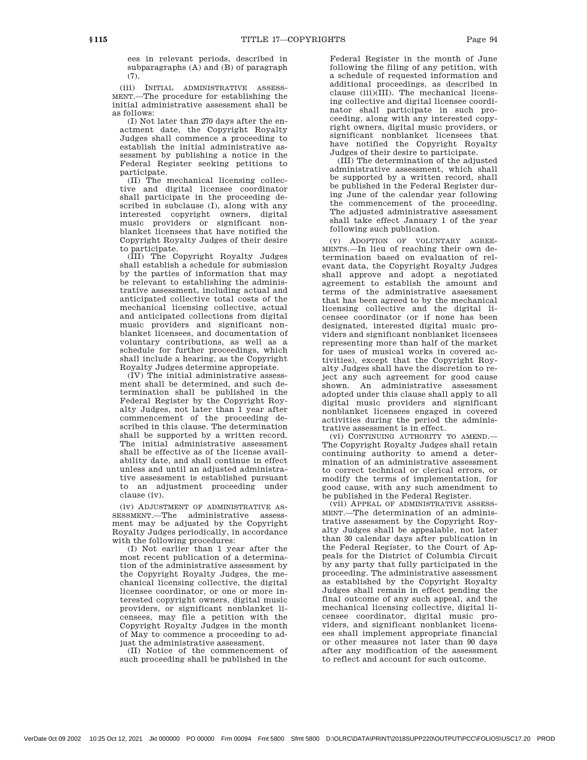ees in relevant periods, described in subparagraphs (A) and (B) of paragraph (7).

(iii) INITIAL ADMINISTRATIVE ASSESS-MENT.—The procedure for establishing the initial administrative assessment shall be as follows:

(I) Not later than 270 days after the enactment date, the Copyright Royalty Judges shall commence a proceeding to establish the initial administrative assessment by publishing a notice in the Federal Register seeking petitions to participate.

(II) The mechanical licensing collective and digital licensee coordinator shall participate in the proceeding described in subclause (I), along with any interested copyright owners, digital music providers or significant nonblanket licensees that have notified the Copyright Royalty Judges of their desire to participate.

(III) The Copyright Royalty Judges shall establish a schedule for submission by the parties of information that may be relevant to establishing the administrative assessment, including actual and anticipated collective total costs of the mechanical licensing collective, actual and anticipated collections from digital music providers and significant nonblanket licensees, and documentation of voluntary contributions, as well as a schedule for further proceedings, which shall include a hearing, as the Copyright Royalty Judges determine appropriate.

(IV) The initial administrative assessment shall be determined, and such determination shall be published in the Federal Register by the Copyright Royalty Judges, not later than 1 year after commencement of the proceeding described in this clause. The determination shall be supported by a written record. The initial administrative assessment shall be effective as of the license availability date, and shall continue in effect unless and until an adjusted administrative assessment is established pursuant to an adjustment proceeding under clause (iv).

(iv) ADJUSTMENT OF ADMINISTRATIVE AS-SESSMENT.—The administrative assessment may be adjusted by the Copyright Royalty Judges periodically, in accordance with the following procedures:

(I) Not earlier than 1 year after the most recent publication of a determination of the administrative assessment by the Copyright Royalty Judges, the mechanical licensing collective, the digital licensee coordinator, or one or more interested copyright owners, digital music providers, or significant nonblanket licensees, may file a petition with the Copyright Royalty Judges in the month of May to commence a proceeding to adjust the administrative assessment.

(II) Notice of the commencement of such proceeding shall be published in the

Federal Register in the month of June following the filing of any petition, with a schedule of requested information and additional proceedings, as described in clause (iii)(III). The mechanical licensing collective and digital licensee coordinator shall participate in such proceeding, along with any interested copyright owners, digital music providers, or significant nonblanket licensees that have notified the Copyright Royalty Judges of their desire to participate.

(III) The determination of the adjusted administrative assessment, which shall be supported by a written record, shall be published in the Federal Register during June of the calendar year following the commencement of the proceeding. The adjusted administrative assessment shall take effect January 1 of the year following such publication.

(v) ADOPTION OF VOLUNTARY AGREE-MENTS.—In lieu of reaching their own determination based on evaluation of relevant data, the Copyright Royalty Judges shall approve and adopt a negotiated agreement to establish the amount and terms of the administrative assessment that has been agreed to by the mechanical licensing collective and the digital licensee coordinator (or if none has been designated, interested digital music providers and significant nonblanket licensees representing more than half of the market for uses of musical works in covered activities), except that the Copyright Royalty Judges shall have the discretion to reject any such agreement for good cause shown. An administrative assessment adopted under this clause shall apply to all digital music providers and significant nonblanket licensees engaged in covered activities during the period the administrative assessment is in effect.

(vi) CONTINUING AUTHORITY TO AMEND.— The Copyright Royalty Judges shall retain continuing authority to amend a determination of an administrative assessment to correct technical or clerical errors, or modify the terms of implementation, for good cause, with any such amendment to be published in the Federal Register.

(vii) APPEAL OF ADMINISTRATIVE ASSESS-MENT.—The determination of an administrative assessment by the Copyright Royalty Judges shall be appealable, not later than 30 calendar days after publication in the Federal Register, to the Court of Appeals for the District of Columbia Circuit by any party that fully participated in the proceeding. The administrative assessment as established by the Copyright Royalty Judges shall remain in effect pending the final outcome of any such appeal, and the mechanical licensing collective, digital licensee coordinator, digital music providers, and significant nonblanket licensees shall implement appropriate financial or other measures not later than 90 days after any modification of the assessment to reflect and account for such outcome.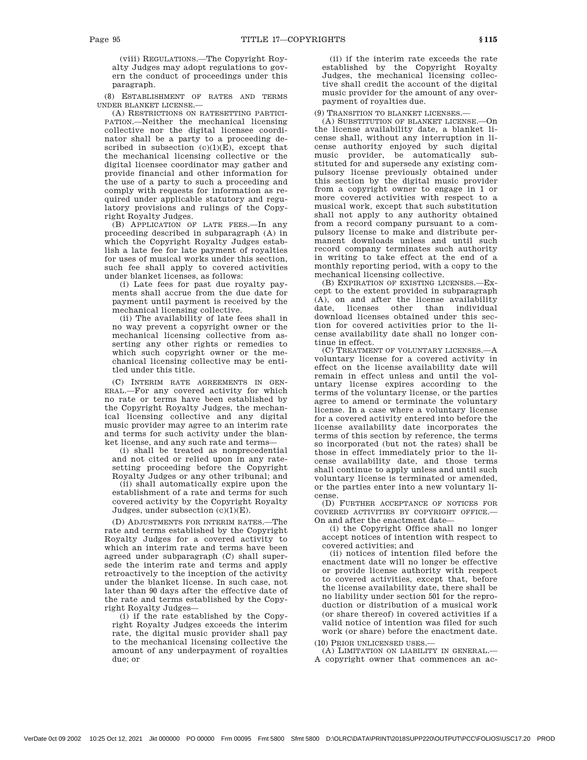(viii) REGULATIONS.—The Copyright Royalty Judges may adopt regulations to govern the conduct of proceedings under this paragraph.

(8) ESTABLISHMENT OF RATES AND TERMS UNDER BLANKET LICENSE.—

(A) RESTRICTIONS ON RATESETTING PARTICI-PATION.—Neither the mechanical licensing collective nor the digital licensee coordinator shall be a party to a proceeding described in subsection  $(c)(1)(E)$ , except that the mechanical licensing collective or the digital licensee coordinator may gather and provide financial and other information for the use of a party to such a proceeding and comply with requests for information as required under applicable statutory and regulatory provisions and rulings of the Copyright Royalty Judges.

(B) APPLICATION OF LATE FEES.—In any proceeding described in subparagraph (A) in which the Copyright Royalty Judges establish a late fee for late payment of royalties for uses of musical works under this section, such fee shall apply to covered activities under blanket licenses, as follows:

(i) Late fees for past due royalty payments shall accrue from the due date for payment until payment is received by the mechanical licensing collective.

(ii) The availability of late fees shall in no way prevent a copyright owner or the mechanical licensing collective from asserting any other rights or remedies to which such copyright owner or the mechanical licensing collective may be entitled under this title.

(C) INTERIM RATE AGREEMENTS IN GEN-ERAL.—For any covered activity for which no rate or terms have been established by the Copyright Royalty Judges, the mechanical licensing collective and any digital music provider may agree to an interim rate and terms for such activity under the blanket license, and any such rate and terms—

(i) shall be treated as nonprecedential and not cited or relied upon in any ratesetting proceeding before the Copyright Royalty Judges or any other tribunal; and

(ii) shall automatically expire upon the establishment of a rate and terms for such covered activity by the Copyright Royalty Judges, under subsection  $(c)(1)(E)$ .

(D) ADJUSTMENTS FOR INTERIM RATES.—The rate and terms established by the Copyright Royalty Judges for a covered activity to which an interim rate and terms have been agreed under subparagraph (C) shall supersede the interim rate and terms and apply retroactively to the inception of the activity under the blanket license. In such case, not later than 90 days after the effective date of the rate and terms established by the Copyright Royalty Judges—

(i) if the rate established by the Copyright Royalty Judges exceeds the interim rate, the digital music provider shall pay to the mechanical licensing collective the amount of any underpayment of royalties due; or

(ii) if the interim rate exceeds the rate established by the Copyright Royalty Judges, the mechanical licensing collective shall credit the account of the digital music provider for the amount of any overpayment of royalties due.

(9) TRANSITION TO BLANKET LICENSES.—

(A) SUBSTITUTION OF BLANKET LICENSE.—On the license availability date, a blanket license shall, without any interruption in license authority enjoyed by such digital music provider, be automatically substituted for and supersede any existing compulsory license previously obtained under this section by the digital music provider from a copyright owner to engage in 1 or more covered activities with respect to a musical work, except that such substitution shall not apply to any authority obtained from a record company pursuant to a compulsory license to make and distribute permanent downloads unless and until such record company terminates such authority in writing to take effect at the end of a monthly reporting period, with a copy to the mechanical licensing collective.

(B) EXPIRATION OF EXISTING LICENSES.—Except to the extent provided in subparagraph (A), on and after the license availability date, licenses other than individual download licenses obtained under this section for covered activities prior to the license availability date shall no longer continue in effect.

(C) TREATMENT OF VOLUNTARY LICENSES.—A voluntary license for a covered activity in effect on the license availability date will remain in effect unless and until the voluntary license expires according to the terms of the voluntary license, or the parties agree to amend or terminate the voluntary license. In a case where a voluntary license for a covered activity entered into before the license availability date incorporates the terms of this section by reference, the terms so incorporated (but not the rates) shall be those in effect immediately prior to the license availability date, and those terms shall continue to apply unless and until such voluntary license is terminated or amended, or the parties enter into a new voluntary license.

(D) FURTHER ACCEPTANCE OF NOTICES FOR COVERED ACTIVITIES BY COPYRIGHT OFFICE.— On and after the enactment date—

(i) the Copyright Office shall no longer accept notices of intention with respect to covered activities; and

(ii) notices of intention filed before the enactment date will no longer be effective or provide license authority with respect to covered activities, except that, before the license availability date, there shall be no liability under section 501 for the reproduction or distribution of a musical work (or share thereof) in covered activities if a valid notice of intention was filed for such work (or share) before the enactment date.

(10) PRIOR UNLICENSED USES.—

(A) LIMITATION ON LIABILITY IN GENERAL.— A copyright owner that commences an ac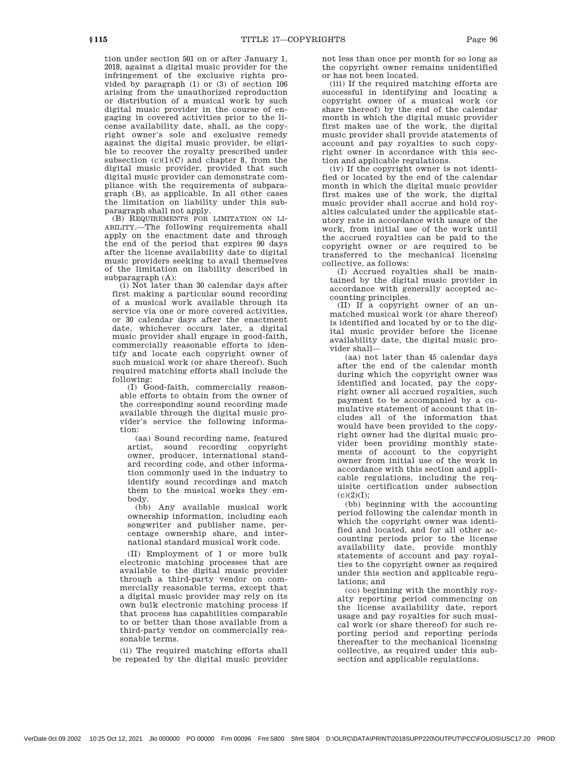tion under section 501 on or after January 1, 2018, against a digital music provider for the infringement of the exclusive rights provided by paragraph (1) or (3) of section 106 arising from the unauthorized reproduction or distribution of a musical work by such digital music provider in the course of engaging in covered activities prior to the license availability date, shall, as the copyright owner's sole and exclusive remedy against the digital music provider, be eligible to recover the royalty prescribed under subsection  $(c)(1)(C)$  and chapter 8, from the digital music provider, provided that such digital music provider can demonstrate compliance with the requirements of subparagraph (B), as applicable. In all other cases the limitation on liability under this subparagraph shall not apply.

(B) REQUIREMENTS FOR LIMITATION ON LI-ABILITY.—The following requirements shall apply on the enactment date and through the end of the period that expires 90 days after the license availability date to digital music providers seeking to avail themselves of the limitation on liability described in subparagraph (A):

(i) Not later than 30 calendar days after first making a particular sound recording of a musical work available through its service via one or more covered activities, or 30 calendar days after the enactment date, whichever occurs later, a digital music provider shall engage in good-faith, commercially reasonable efforts to identify and locate each copyright owner of such musical work (or share thereof). Such required matching efforts shall include the following:

(I) Good-faith, commercially reasonable efforts to obtain from the owner of the corresponding sound recording made available through the digital music provider's service the following information:

(aa) Sound recording name, featured artist, sound recording copyright owner, producer, international standard recording code, and other information commonly used in the industry to identify sound recordings and match them to the musical works they embody.

(bb) Any available musical work ownership information, including each songwriter and publisher name, percentage ownership share, and international standard musical work code.

(II) Employment of 1 or more bulk electronic matching processes that are available to the digital music provider through a third-party vendor on commercially reasonable terms, except that a digital music provider may rely on its own bulk electronic matching process if that process has capabilities comparable to or better than those available from a third-party vendor on commercially reasonable terms.

(ii) The required matching efforts shall be repeated by the digital music provider not less than once per month for so long as the copyright owner remains unidentified or has not been located.

(iii) If the required matching efforts are successful in identifying and locating a copyright owner of a musical work (or share thereof) by the end of the calendar month in which the digital music provider first makes use of the work, the digital music provider shall provide statements of account and pay royalties to such copyright owner in accordance with this section and applicable regulations.

(iv) If the copyright owner is not identified or located by the end of the calendar month in which the digital music provider first makes use of the work, the digital music provider shall accrue and hold royalties calculated under the applicable statutory rate in accordance with usage of the work, from initial use of the work until the accrued royalties can be paid to the copyright owner or are required to be transferred to the mechanical licensing collective, as follows:

(I) Accrued royalties shall be maintained by the digital music provider in accordance with generally accepted accounting principles.

(II) If a copyright owner of an unmatched musical work (or share thereof) is identified and located by or to the digital music provider before the license availability date, the digital music provider shall—

(aa) not later than 45 calendar days after the end of the calendar month during which the copyright owner was identified and located, pay the copyright owner all accrued royalties, such payment to be accompanied by a cumulative statement of account that includes all of the information that would have been provided to the copyright owner had the digital music provider been providing monthly statements of account to the copyright owner from initial use of the work in accordance with this section and applicable regulations, including the requisite certification under subsection  $(c)(2)(I)$ ;

(bb) beginning with the accounting period following the calendar month in which the copyright owner was identified and located, and for all other accounting periods prior to the license availability date, provide monthly statements of account and pay royalties to the copyright owner as required under this section and applicable regulations; and

(cc) beginning with the monthly royalty reporting period commencing on the license availability date, report usage and pay royalties for such musical work (or share thereof) for such reporting period and reporting periods thereafter to the mechanical licensing collective, as required under this subsection and applicable regulations.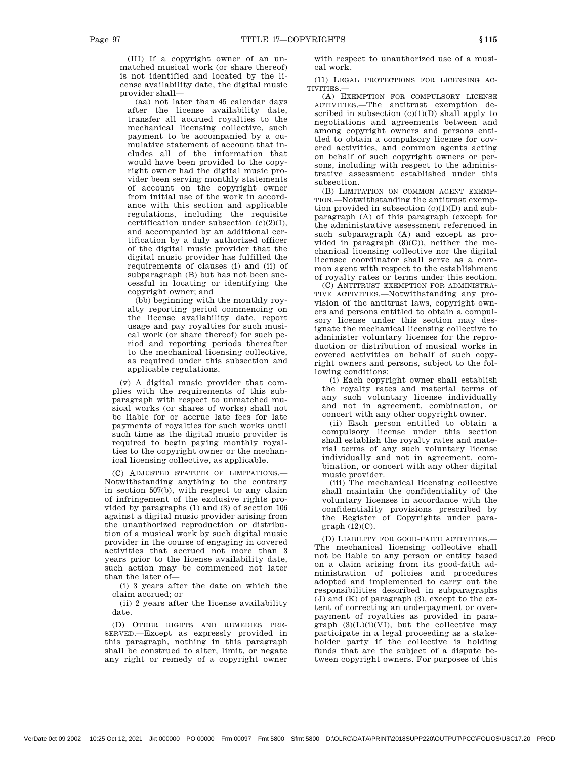(III) If a copyright owner of an unmatched musical work (or share thereof) is not identified and located by the license availability date, the digital music

provider shall— (aa) not later than 45 calendar days after the license availability date, transfer all accrued royalties to the mechanical licensing collective, such payment to be accompanied by a cumulative statement of account that includes all of the information that would have been provided to the copyright owner had the digital music provider been serving monthly statements of account on the copyright owner from initial use of the work in accordance with this section and applicable regulations, including the requisite certification under subsection (c)(2)(I), and accompanied by an additional certification by a duly authorized officer of the digital music provider that the digital music provider has fulfilled the requirements of clauses (i) and (ii) of subparagraph (B) but has not been successful in locating or identifying the copyright owner; and

(bb) beginning with the monthly royalty reporting period commencing on the license availability date, report usage and pay royalties for such musical work (or share thereof) for such period and reporting periods thereafter to the mechanical licensing collective, as required under this subsection and applicable regulations.

(v) A digital music provider that complies with the requirements of this subparagraph with respect to unmatched musical works (or shares of works) shall not be liable for or accrue late fees for late payments of royalties for such works until such time as the digital music provider is required to begin paying monthly royalties to the copyright owner or the mechanical licensing collective, as applicable.

(C) ADJUSTED STATUTE OF LIMITATIONS.— Notwithstanding anything to the contrary in section 507(b), with respect to any claim of infringement of the exclusive rights provided by paragraphs (1) and (3) of section 106 against a digital music provider arising from the unauthorized reproduction or distribution of a musical work by such digital music provider in the course of engaging in covered activities that accrued not more than 3 years prior to the license availability date, such action may be commenced not later than the later of—

(i) 3 years after the date on which the claim accrued; or

(ii) 2 years after the license availability date.

(D) OTHER RIGHTS AND REMEDIES PRE-SERVED.—Except as expressly provided in this paragraph, nothing in this paragraph shall be construed to alter, limit, or negate any right or remedy of a copyright owner with respect to unauthorized use of a musical work.

(11) LEGAL PROTECTIONS FOR LICENSING AC-TIVITIES.—

(A) EXEMPTION FOR COMPULSORY LICENSE ACTIVITIES.—The antitrust exemption described in subsection  $(c)(1)(D)$  shall apply to negotiations and agreements between and among copyright owners and persons entitled to obtain a compulsory license for covered activities, and common agents acting on behalf of such copyright owners or persons, including with respect to the administrative assessment established under this subsection.

(B) LIMITATION ON COMMON AGENT EXEMP-TION.—Notwithstanding the antitrust exemption provided in subsection  $(c)(1)(D)$  and subparagraph (A) of this paragraph (except for the administrative assessment referenced in such subparagraph (A) and except as provided in paragraph (8)(C)), neither the mechanical licensing collective nor the digital licensee coordinator shall serve as a common agent with respect to the establishment of royalty rates or terms under this section.

(C) ANTITRUST EXEMPTION FOR ADMINISTRA-TIVE ACTIVITIES.—Notwithstanding any provision of the antitrust laws, copyright owners and persons entitled to obtain a compulsory license under this section may designate the mechanical licensing collective to administer voluntary licenses for the reproduction or distribution of musical works in covered activities on behalf of such copyright owners and persons, subject to the following conditions:

(i) Each copyright owner shall establish the royalty rates and material terms of any such voluntary license individually and not in agreement, combination, or concert with any other copyright owner.

(ii) Each person entitled to obtain a compulsory license under this section shall establish the royalty rates and material terms of any such voluntary license individually and not in agreement, combination, or concert with any other digital music provider.

(iii) The mechanical licensing collective shall maintain the confidentiality of the voluntary licenses in accordance with the confidentiality provisions prescribed by the Register of Copyrights under para $graph (12)(C)$ .

(D) LIABILITY FOR GOOD-FAITH ACTIVITIES.— The mechanical licensing collective shall not be liable to any person or entity based on a claim arising from its good-faith administration of policies and procedures adopted and implemented to carry out the responsibilities described in subparagraphs (J) and (K) of paragraph (3), except to the extent of correcting an underpayment or overpayment of royalties as provided in paragraph  $(3)(L)(i)(VI)$ , but the collective may participate in a legal proceeding as a stakeholder party if the collective is holding funds that are the subject of a dispute between copyright owners. For purposes of this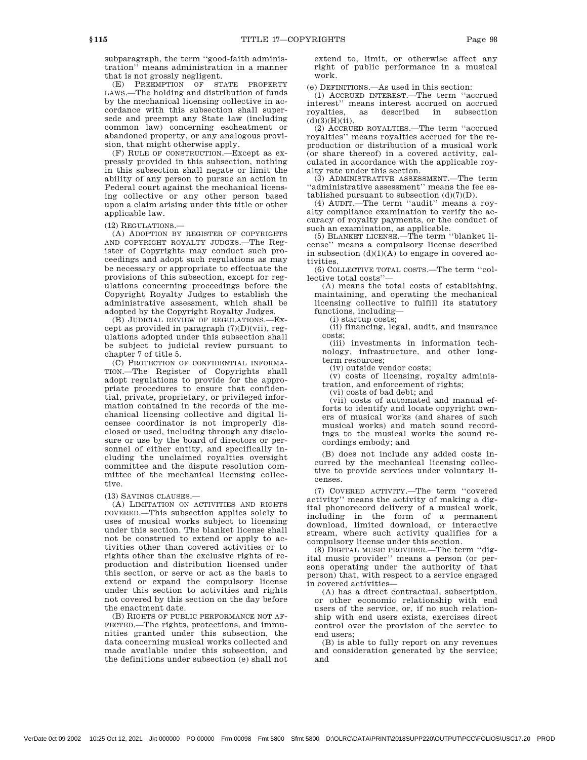subparagraph, the term ''good-faith administration'' means administration in a manner that is not grossly negligent.

(E) PREEMPTION OF STATE PROPERTY LAWS.—The holding and distribution of funds by the mechanical licensing collective in accordance with this subsection shall supersede and preempt any State law (including common law) concerning escheatment or abandoned property, or any analogous provision, that might otherwise apply.

(F) RULE OF CONSTRUCTION.—Except as expressly provided in this subsection, nothing in this subsection shall negate or limit the ability of any person to pursue an action in Federal court against the mechanical licensing collective or any other person based upon a claim arising under this title or other applicable law.

(12) REGULATIONS.—

(A) ADOPTION BY REGISTER OF COPYRIGHTS AND COPYRIGHT ROYALTY JUDGES.—The Register of Copyrights may conduct such proceedings and adopt such regulations as may be necessary or appropriate to effectuate the provisions of this subsection, except for regulations concerning proceedings before the Copyright Royalty Judges to establish the administrative assessment, which shall be adopted by the Copyright Royalty Judges.

(B) JUDICIAL REVIEW OF REGULATIONS.—Except as provided in paragraph  $(7)(D)(Vii)$ , regulations adopted under this subsection shall be subject to judicial review pursuant to chapter 7 of title 5.

(C) PROTECTION OF CONFIDENTIAL INFORMA-TION.—The Register of Copyrights shall adopt regulations to provide for the appropriate procedures to ensure that confidential, private, proprietary, or privileged information contained in the records of the mechanical licensing collective and digital licensee coordinator is not improperly disclosed or used, including through any disclosure or use by the board of directors or personnel of either entity, and specifically including the unclaimed royalties oversight committee and the dispute resolution committee of the mechanical licensing collective.

(13) SAVINGS CLAUSES.—

(A) LIMITATION ON ACTIVITIES AND RIGHTS COVERED.—This subsection applies solely to uses of musical works subject to licensing under this section. The blanket license shall not be construed to extend or apply to activities other than covered activities or to rights other than the exclusive rights of reproduction and distribution licensed under this section, or serve or act as the basis to extend or expand the compulsory license under this section to activities and rights not covered by this section on the day before the enactment date.

(B) RIGHTS OF PUBLIC PERFORMANCE NOT AF-FECTED.—The rights, protections, and immunities granted under this subsection, the data concerning musical works collected and made available under this subsection, and the definitions under subsection (e) shall not extend to, limit, or otherwise affect any right of public performance in a musical work.

(e) DEFINITIONS.—As used in this section:

(1) ACCRUED INTEREST.—The term ''accrued interest'' means interest accrued on accrued royalties, as described in subsection  $(d)(3)(H)(ii)$ .

(2) ACCRUED ROYALTIES.—The term ''accrued royalties'' means royalties accrued for the reproduction or distribution of a musical work (or share thereof) in a covered activity, calculated in accordance with the applicable royalty rate under this section.

(3) ADMINISTRATIVE ASSESSMENT.—The term ''administrative assessment'' means the fee established pursuant to subsection  $(d)(7)(D)$ .

(4) AUDIT.—The term ''audit'' means a royalty compliance examination to verify the accuracy of royalty payments, or the conduct of such an examination, as applicable.

(5) BLANKET LICENSE.—The term ''blanket license'' means a compulsory license described in subsection  $(d)(1)(A)$  to engage in covered activities.

(6) COLLECTIVE TOTAL COSTS.—The term ''collective total costs"

(A) means the total costs of establishing, maintaining, and operating the mechanical licensing collective to fulfill its statutory functions, including—

(i) startup costs;

(ii) financing, legal, audit, and insurance costs;

(iii) investments in information technology, infrastructure, and other longterm resources;

(iv) outside vendor costs;

(v) costs of licensing, royalty administration, and enforcement of rights;

(vi) costs of bad debt; and

(vii) costs of automated and manual efforts to identify and locate copyright owners of musical works (and shares of such musical works) and match sound recordings to the musical works the sound recordings embody; and

(B) does not include any added costs incurred by the mechanical licensing collective to provide services under voluntary licenses.

(7) COVERED ACTIVITY.—The term ''covered activity'' means the activity of making a digital phonorecord delivery of a musical work, including in the form of a permanent download, limited download, or interactive stream, where such activity qualifies for a compulsory license under this section.

(8) DIGITAL MUSIC PROVIDER.—The term ''digital music provider'' means a person (or persons operating under the authority of that person) that, with respect to a service engaged in covered activities—

(A) has a direct contractual, subscription, or other economic relationship with end users of the service, or, if no such relationship with end users exists, exercises direct control over the provision of the service to end users;

(B) is able to fully report on any revenues and consideration generated by the service; and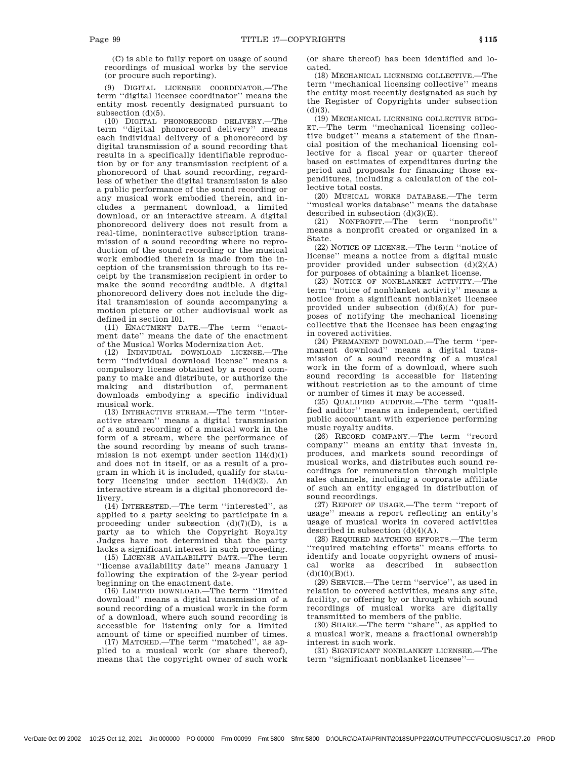(C) is able to fully report on usage of sound recordings of musical works by the service (or procure such reporting).

(9) DIGITAL LICENSEE COORDINATOR.—The term ''digital licensee coordinator'' means the entity most recently designated pursuant to subsection (d)(5).

(10) DIGITAL PHONORECORD DELIVERY.—The term ''digital phonorecord delivery'' means each individual delivery of a phonorecord by digital transmission of a sound recording that results in a specifically identifiable reproduction by or for any transmission recipient of a phonorecord of that sound recording, regardless of whether the digital transmission is also a public performance of the sound recording or any musical work embodied therein, and includes a permanent download, a limited download, or an interactive stream. A digital phonorecord delivery does not result from a real-time, noninteractive subscription transmission of a sound recording where no reproduction of the sound recording or the musical work embodied therein is made from the inception of the transmission through to its receipt by the transmission recipient in order to make the sound recording audible. A digital phonorecord delivery does not include the digital transmission of sounds accompanying a motion picture or other audiovisual work as defined in section 101.

(11) ENACTMENT DATE.—The term ''enactment date'' means the date of the enactment of the Musical Works Modernization Act.

(12) INDIVIDUAL DOWNLOAD LICENSE.—The term ''individual download license'' means a compulsory license obtained by a record company to make and distribute, or authorize the making and distribution of, permanent downloads embodying a specific individual musical work.

(13) INTERACTIVE STREAM.—The term ''interactive stream'' means a digital transmission of a sound recording of a musical work in the form of a stream, where the performance of the sound recording by means of such transmission is not exempt under section 114(d)(1) and does not in itself, or as a result of a program in which it is included, qualify for statutory licensing under section 114(d)(2). An interactive stream is a digital phonorecord delivery.

(14) INTERESTED.—The term ''interested'', as applied to a party seeking to participate in a proceeding under subsection  $(d)(7)(D)$ , is a party as to which the Copyright Royalty Judges have not determined that the party lacks a significant interest in such proceeding.

(15) LICENSE AVAILABILITY DATE.—The term ''license availability date'' means January 1 following the expiration of the 2-year period beginning on the enactment date.

(16) LIMITED DOWNLOAD.—The term ''limited download'' means a digital transmission of a sound recording of a musical work in the form of a download, where such sound recording is accessible for listening only for a limited amount of time or specified number of times.

(17) MATCHED.—The term ''matched'', as applied to a musical work (or share thereof), means that the copyright owner of such work (or share thereof) has been identified and located.

(18) MECHANICAL LICENSING COLLECTIVE.—The term ''mechanical licensing collective'' means the entity most recently designated as such by the Register of Copyrights under subsection  $(d)(3)$ .

(19) MECHANICAL LICENSING COLLECTIVE BUDG-ET.—The term ''mechanical licensing collective budget'' means a statement of the financial position of the mechanical licensing collective for a fiscal year or quarter thereof based on estimates of expenditures during the period and proposals for financing those expenditures, including a calculation of the collective total costs.

(20) MUSICAL WORKS DATABASE.—The term ''musical works database'' means the database described in subsection  $(d)(3)(E)$ .

(21) NONPROFIT.—The term ''nonprofit'' means a nonprofit created or organized in a State.

(22) NOTICE OF LICENSE.—The term ''notice of license'' means a notice from a digital music provider provided under subsection (d)(2)(A) for purposes of obtaining a blanket license.

(23) NOTICE OF NONBLANKET ACTIVITY.—The term ''notice of nonblanket activity'' means a notice from a significant nonblanket licensee provided under subsection  $(d)(6)(A)$  for purposes of notifying the mechanical licensing collective that the licensee has been engaging in covered activities.

(24) PERMANENT DOWNLOAD.—The term ''permanent download'' means a digital transmission of a sound recording of a musical work in the form of a download, where such sound recording is accessible for listening without restriction as to the amount of time or number of times it may be accessed.

(25) QUALIFIED AUDITOR.—The term ''qualified auditor'' means an independent, certified public accountant with experience performing music royalty audits.

(26) RECORD COMPANY.—The term ''record company'' means an entity that invests in, produces, and markets sound recordings of musical works, and distributes such sound recordings for remuneration through multiple sales channels, including a corporate affiliate of such an entity engaged in distribution of sound recordings.

(27) REPORT OF USAGE.—The term ''report of usage'' means a report reflecting an entity's usage of musical works in covered activities described in subsection  $(d)(4)(A)$ .

(28) REQUIRED MATCHING EFFORTS.—The term ''required matching efforts'' means efforts to identify and locate copyright owners of musical works as described in subsection (d)(10)(B)(i).

(29) SERVICE.—The term ''service'', as used in relation to covered activities, means any site, facility, or offering by or through which sound recordings of musical works are digitally transmitted to members of the public.

(30) SHARE.—The term ''share'', as applied to a musical work, means a fractional ownership interest in such work.

(31) SIGNIFICANT NONBLANKET LICENSEE.—The term ''significant nonblanket licensee''—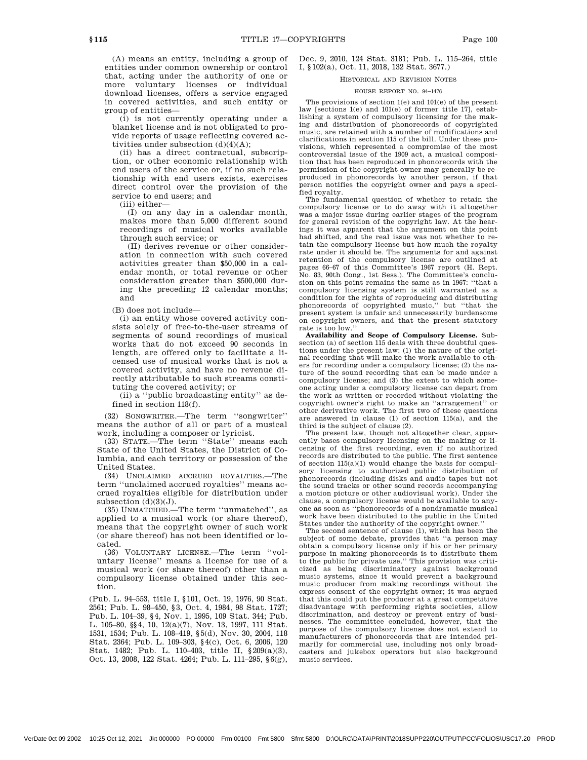(A) means an entity, including a group of entities under common ownership or control that, acting under the authority of one or more voluntary licenses or individual download licenses, offers a service engaged in covered activities, and such entity or group of entities—

(i) is not currently operating under a blanket license and is not obligated to provide reports of usage reflecting covered activities under subsection  $(d)(4)(A)$ ;

(ii) has a direct contractual, subscription, or other economic relationship with end users of the service or, if no such relationship with end users exists, exercises direct control over the provision of the service to end users; and

(iii) either—

(I) on any day in a calendar month, makes more than 5,000 different sound recordings of musical works available through such service; or

(II) derives revenue or other consideration in connection with such covered activities greater than \$50,000 in a calendar month, or total revenue or other consideration greater than \$500,000 during the preceding 12 calendar months; and

(B) does not include—

(i) an entity whose covered activity consists solely of free-to-the-user streams of segments of sound recordings of musical works that do not exceed 90 seconds in length, are offered only to facilitate a licensed use of musical works that is not a covered activity, and have no revenue directly attributable to such streams constituting the covered activity; or

(ii) a ''public broadcasting entity'' as defined in section 118(f).

(32) SONGWRITER.—The term ''songwriter'' means the author of all or part of a musical work, including a composer or lyricist.

(33) STATE.—The term ''State'' means each State of the United States, the District of Columbia, and each territory or possession of the United States.

(34) UNCLAIMED ACCRUED ROYALTIES.—The term ''unclaimed accrued royalties'' means accrued royalties eligible for distribution under subsection  $(d)(3)(J)$ .

(35) UNMATCHED.—The term ''unmatched'', as applied to a musical work (or share thereof), means that the copyright owner of such work (or share thereof) has not been identified or located.

(36) VOLUNTARY LICENSE.—The term ''voluntary license'' means a license for use of a musical work (or share thereof) other than a compulsory license obtained under this section.

(Pub. L. 94–553, title I, §101, Oct. 19, 1976, 90 Stat. 2561; Pub. L. 98–450, §3, Oct. 4, 1984, 98 Stat. 1727; Pub. L. 104–39, §4, Nov. 1, 1995, 109 Stat. 344; Pub. L. 105–80, §§4, 10, 12(a)(7), Nov. 13, 1997, 111 Stat. 1531, 1534; Pub. L. 108–419, §5(d), Nov. 30, 2004, 118 Stat. 2364; Pub. L. 109–303, §4(c), Oct. 6, 2006, 120 Stat. 1482; Pub. L. 110–403, title II, §209(a)(3), Oct. 13, 2008, 122 Stat. 4264; Pub. L. 111–295, §6(g),

Dec. 9, 2010, 124 Stat. 3181; Pub. L. 115–264, title I, §102(a), Oct. 11, 2018, 132 Stat. 3677.)

### HISTORICAL AND REVISION NOTES

# HOUSE REPORT NO. 94–1476

The provisions of section 1(e) and 101(e) of the present law [sections 1(e) and 101(e) of former title 17], establishing a system of compulsory licensing for the making and distribution of phonorecords of copyrighted music, are retained with a number of modifications and clarifications in section 115 of the bill. Under these provisions, which represented a compromise of the most controversial issue of the 1909 act, a musical composition that has been reproduced in phonorecords with the permission of the copyright owner may generally be reproduced in phonorecords by another person, if that person notifies the copyright owner and pays a specified royalty.

The fundamental question of whether to retain the compulsory license or to do away with it altogether was a major issue during earlier stages of the program for general revision of the copyright law. At the hearings it was apparent that the argument on this point had shifted, and the real issue was not whether to retain the compulsory license but how much the royalty rate under it should be. The arguments for and against retention of the compulsory license are outlined at pages 66–67 of this Committee's 1967 report (H. Rept. No. 83, 90th Cong., 1st Sess.). The Committee's conclu-sion on this point remains the same as in 1967: ''that a compulsory licensing system is still warranted as a condition for the rights of reproducing and distributing phonorecords of copyrighted music,'' but ''that the present system is unfair and unnecessarily burdensome on copyright owners, and that the present statutory rate is too low.''

**Availability and Scope of Compulsory License.** Subsection (a) of section 115 deals with three doubtful questions under the present law: (1) the nature of the original recording that will make the work available to others for recording under a compulsory license; (2) the nature of the sound recording that can be made under a compulsory license; and (3) the extent to which someone acting under a compulsory license can depart from the work as written or recorded without violating the copyright owner's right to make an ''arrangement'' or other derivative work. The first two of these questions are answered in clause (1) of section 115(a), and the third is the subject of clause (2).

The present law, though not altogether clear, apparently bases compulsory licensing on the making or licensing of the first recording, even if no authorized records are distributed to the public. The first sentence of section 115(a)(1) would change the basis for compulsory licensing to authorized public distribution of phonorecords (including disks and audio tapes but not the sound tracks or other sound records accompanying a motion picture or other audiovisual work). Under the clause, a compulsory license would be available to anyone as soon as ''phonorecords of a nondramatic musical work have been distributed to the public in the United States under the authority of the copyright owner.''

The second sentence of clause (1), which has been the subject of some debate, provides that ''a person may obtain a compulsory license only if his or her primary purpose in making phonorecords is to distribute them to the public for private use.'' This provision was criticized as being discriminatory against background music systems, since it would prevent a background music producer from making recordings without the express consent of the copyright owner; it was argued that this could put the producer at a great competitive disadvantage with performing rights societies, allow discrimination, and destroy or prevent entry of businesses. The committee concluded, however, that the purpose of the compulsory license does not extend to manufacturers of phonorecords that are intended primarily for commercial use, including not only broadcasters and jukebox operators but also background music services.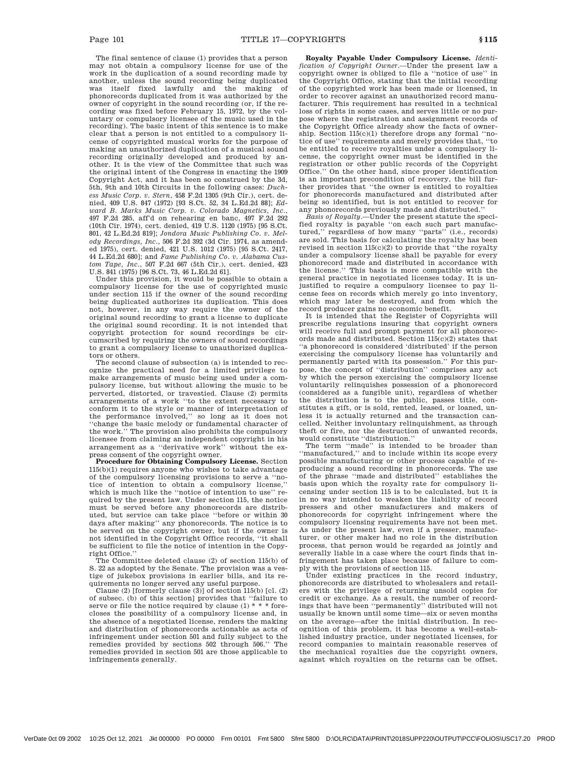The final sentence of clause (1) provides that a person may not obtain a compulsory license for use of the work in the duplication of a sound recording made by another, unless the sound recording being duplicated was itself fixed lawfully and the making of phonorecords duplicated from it was authorized by the owner of copyright in the sound recording (or, if the recording was fixed before February 15, 1972, by the voluntary or compulsory licensee of the music used in the recording). The basic intent of this sentence is to make clear that a person is not entitled to a compulsory license of copyrighted musical works for the purpose of making an unauthorized duplication of a musical sound recording originally developed and produced by another. It is the view of the Committee that such was the original intent of the Congress in enacting the 1909 Copyright Act, and it has been so construed by the 3d, 5th, 9th and 10th Circuits in the following cases: *Duchess Music Corp. v. Stern*, 458 F.2d 1305 (9th Cir.), cert. denied, 409 U.S. 847 (1972) [93 S.Ct. 52, 34 L.Ed.2d 88]; *Edward B. Marks Music Corp. v. Colorado Magnetics, Inc*., 497 F.2d 285, aff'd on rehearing en banc, 497 F.2d 292 (10th Cir. 1974), cert. denied, 419 U.S. 1120 (1975) [95 S.Ct. 801, 42 L.Ed.2d 819]; *Jondora Music Publishing Co. v. Melody Recordings, Inc*., 506 F.2d 392 (3d Cir. 1974, as amended 1975), cert. denied, 421 U.S. 1012 (1975) [95 S.Ct. 2417, 44 L.Ed.2d 680]; and *Fame Publishing Co. v. Alabama Custom Tape, Inc*., 507 F.2d 667 (5th Cir.), cert. denied, 423 U.S. 841 (1975) [96 S.Ct. 73, 46 L.Ed.2d 61].

Under this provision, it would be possible to obtain a compulsory license for the use of copyrighted music under section 115 if the owner of the sound recording being duplicated authorizes its duplication. This does not, however, in any way require the owner of the original sound recording to grant a license to duplicate the original sound recording. It is not intended that copyright protection for sound recordings be circumscribed by requiring the owners of sound recordings to grant a compulsory license to unauthorized duplicators or others.

The second clause of subsection (a) is intended to recognize the practical need for a limited privilege to make arrangements of music being used under a compulsory license, but without allowing the music to be perverted, distorted, or travestied. Clause (2) permits arrangements of a work ''to the extent necessary to conform it to the style or manner of interpretation of the performance involved,'' so long as it does not ''change the basic melody or fundamental character of the work.'' The provision also prohibits the compulsory licensee from claiming an independent copyright in his arrangement as a ''derivative work'' without the express consent of the copyright owner.

**Procedure for Obtaining Compulsory License.** Section 115(b)(1) requires anyone who wishes to take advantage of the compulsory licensing provisions to serve a ''notice of intention to obtain a compulsory license,'' which is much like the "notice of intention to use" required by the present law. Under section 115, the notice must be served before any phonorecords are distributed, but service can take place ''before or within 30 days after making'' any phonorecords. The notice is to be served on the copyright owner, but if the owner is not identified in the Copyright Office records, ''it shall be sufficient to file the notice of intention in the Copy-

right Office.'' The Committee deleted clause (2) of section 115(b) of S. 22 as adopted by the Senate. The provision was a vestige of jukebox provisions in earlier bills, and its requirements no longer served any useful purpose.

Clause (2)  $[6]$  formerly clause (3) $]$  of section 115(b)  $[c]$ . (2) of subsec. (b) of this section] provides that ''failure to serve or file the notice required by clause  $(1)$  \* \* \* forecloses the possibility of a compulsory license and, in the absence of a negotiated license, renders the making and distribution of phonorecords actionable as acts of infringement under section 501 and fully subject to the remedies provided by sections 502 through 506.'' The remedies provided in section 501 are those applicable to infringements generally.

**Royalty Payable Under Compulsory License.** *Identification of Copyright Owner*.—Under the present law a copyright owner is obliged to file a ''notice of use'' in the Copyright Office, stating that the initial recording of the copyrighted work has been made or licensed, in order to recover against an unauthorized record manufacturer. This requirement has resulted in a technical loss of rights in some cases, and serves little or no purpose where the registration and assignment records of the Copyright Office already show the facts of ownership. Section 115(c)(1) therefore drops any formal ''notice of use'' requirements and merely provides that, ''to be entitled to receive royalties under a compulsory license, the copyright owner must be identified in the registration or other public records of the Copyright Office.'' On the other hand, since proper identification is an important precondition of recovery, the bill further provides that ''the owner is entitled to royalties for phonorecords manufactured and distributed after being so identified, but is not entitled to recover for any phonorecords previously made and distributed.''

*Basis of Royalty*.—Under the present statute the specified royalty is payable ''on each such part manufactured,'' regardless of how many ''parts'' (i.e., records) are sold. This basis for calculating the royalty has been revised in section 115(c)(2) to provide that ''the royalty under a compulsory license shall be payable for every phonorecord made and distributed in accordance with the license.'' This basis is more compatible with the general practice in negotiated licenses today. It is unjustified to require a compulsory licensee to pay license fees on records which merely go into inventory, which may later be destroyed, and from which the record producer gains no economic benefit.

It is intended that the Register of Copyrights will prescribe regulations insuring that copyright owners will receive full and prompt payment for all phonorecords made and distributed. Section 115(c)(2) states that ''a phonorecord is considered 'distributed' if the person exercising the compulsory license has voluntarily and permanently parted with its possession.'' For this purpose, the concept of ''distribution'' comprises any act by which the person exercising the compulsory license voluntarily relinquishes possession of a phonorecord (considered as a fungible unit), regardless of whether the distribution is to the public, passes title, constitutes a gift, or is sold, rented, leased, or loaned, unless it is actually returned and the transaction cancelled. Neither involuntary relinquishment, as through theft or fire, nor the destruction of unwanted records, would constitute ''distribution.'' The term ''made'' is intended to be broader than

''manufactured,'' and to include within its scope every possible manufacturing or other process capable of reproducing a sound recording in phonorecords. The use of the phrase ''made and distributed'' establishes the basis upon which the royalty rate for compulsory licensing under section 115 is to be calculated, but it is in no way intended to weaken the liability of record pressers and other manufacturers and makers of phonorecords for copyright infringement where the compulsory licensing requirements have not been met. As under the present law, even if a presser, manufacturer, or other maker had no role in the distribution process, that person would be regarded as jointly and severally liable in a case where the court finds that infringement has taken place because of failure to comply with the provisions of section 115.

Under existing practices in the record industry, phonorecords are distributed to wholesalers and retailers with the privilege of returning unsold copies for credit or exchange. As a result, the number of recordings that have been ''permanently'' distributed will not usually be known until some time—six or seven months on the average—after the initial distribution. In recognition of this problem, it has become a well-established industry practice, under negotiated licenses, for record companies to maintain reasonable reserves of the mechanical royalties due the copyright owners, against which royalties on the returns can be offset.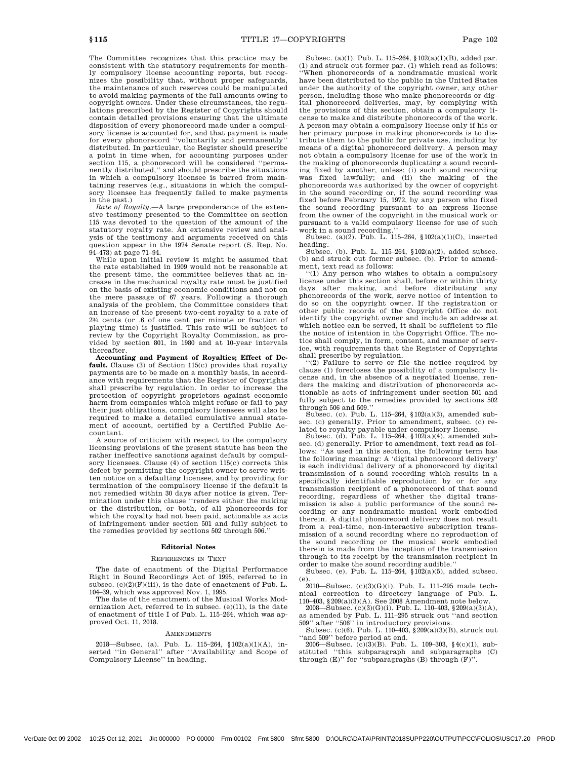The Committee recognizes that this practice may be consistent with the statutory requirements for monthly compulsory license accounting reports, but recognizes the possibility that, without proper safeguards, the maintenance of such reserves could be manipulated to avoid making payments of the full amounts owing to copyright owners. Under these circumstances, the regulations prescribed by the Register of Copyrights should contain detailed provisions ensuring that the ultimate disposition of every phonorecord made under a compulsory license is accounted for, and that payment is made for every phonorecord ''voluntarily and permanently'' distributed. In particular, the Register should prescribe a point in time when, for accounting purposes under section 115, a phonorecord will be considered ''permanently distributed,'' and should prescribe the situations in which a compulsory licensee is barred from maintaining reserves (e.g., situations in which the compulsory licensee has frequently failed to make payments in the past.)

*Rate of Royalty*.—A large preponderance of the extensive testimony presented to the Committee on section 115 was devoted to the question of the amount of the statutory royalty rate. An extensive review and analysis of the testimony and arguments received on this question appear in the 1974 Senate report (S. Rep. No. 94–473) at page 71–94.

While upon initial review it might be assumed that the rate established in 1909 would not be reasonable at the present time, the committee believes that an increase in the mechanical royalty rate must be justified on the basis of existing economic conditions and not on the mere passage of 67 years. Following a thorough analysis of the problem, the Committee considers that an increase of the present two-cent royalty to a rate of 2 3 ⁄4 cents (or .6 of one cent per minute or fraction of playing time) is justified. This rate will be subject to review by the Copyright Royalty Commission, as provided by section 801, in 1980 and at 10-year intervals thereafter.

**Accounting and Payment of Royalties; Effect of Default.** Clause (3) of Section 115(c) provides that royalty payments are to be made on a monthly basis, in accordance with requirements that the Register of Copyrights shall prescribe by regulation. In order to increase the protection of copyright proprietors against economic harm from companies which might refuse or fail to pay their just obligations, compulsory licensees will also be required to make a detailed cumulative annual statement of account, certified by a Certified Public Accountant.

A source of criticism with respect to the compulsory licensing provisions of the present statute has been the rather ineffective sanctions against default by compulsory licensees. Clause (4) of section 115(c) corrects this defect by permitting the copyright owner to serve written notice on a defaulting licensee, and by providing for termination of the compulsory license if the default is not remedied within 30 days after notice is given. Ter-mination under this clause ''renders either the making or the distribution, or both, of all phonorecords for which the royalty had not been paid, actionable as acts of infringement under section 501 and fully subject to the remedies provided by sections 502 through 506.''

#### **Editorial Notes**

#### REFERENCES IN TEXT

The date of enactment of the Digital Performance Right in Sound Recordings Act of 1995, referred to in subsec.  $(c)(2)(F)(iii)$ , is the date of enactment of Pub. L. 104–39, which was approved Nov. 1, 1995.

The date of the enactment of the Musical Works Modernization Act, referred to in subsec. (e)(11), is the date of enactment of title I of Pub. L. 115–264, which was approved Oct. 11, 2018.

#### AMENDMENTS

2018—Subsec. (a). Pub. L. 115–264, §102(a)(1)(A), in-serted ''in General'' after ''Availability and Scope of Compulsory License'' in heading.

Subsec. (a)(1). Pub. L. 115–264, §102(a)(1)(B), added par. (1) and struck out former par. (1) which read as follows: ''When phonorecords of a nondramatic musical work have been distributed to the public in the United States under the authority of the copyright owner, any other person, including those who make phonorecords or digital phonorecord deliveries, may, by complying with the provisions of this section, obtain a compulsory license to make and distribute phonorecords of the work. A person may obtain a compulsory license only if his or her primary purpose in making phonorecords is to distribute them to the public for private use, including by means of a digital phonorecord delivery. A person may not obtain a compulsory license for use of the work in the making of phonorecords duplicating a sound recording fixed by another, unless: (i) such sound recording was fixed lawfully; and (ii) the making of the phonorecords was authorized by the owner of copyright in the sound recording or, if the sound recording was fixed before February 15, 1972, by any person who fixed the sound recording pursuant to an express license from the owner of the copyright in the musical work or pursuant to a valid compulsory license for use of such work in a sound recording.''

Subsec. (a)(2). Pub. L. 115–264, §102(a)(1)(C), inserted heading.

Subsec. (b). Pub. L. 115–264, §102(a)(2), added subsec. (b) and struck out former subsec. (b). Prior to amendment, text read as follows:

'(1) Any person who wishes to obtain a compulsory license under this section shall, before or within thirty days after making, and before distributing any phonorecords of the work, serve notice of intention to do so on the copyright owner. If the registration or other public records of the Copyright Office do not identify the copyright owner and include an address at which notice can be served, it shall be sufficient to file the notice of intention in the Copyright Office. The notice shall comply, in form, content, and manner of service, with requirements that the Register of Copyrights shall prescribe by regulation. ''(2) Failure to serve or file the notice required by

clause (1) forecloses the possibility of a compulsory license and, in the absence of a negotiated license, renders the making and distribution of phonorecords actionable as acts of infringement under section 501 and fully subject to the remedies provided by sections 502 through 506 and 509.''

Subsec. (c). Pub. L. 115–264, §102(a)(3), amended subsec. (c) generally. Prior to amendment, subsec. (c) related to royalty payable under compulsory license.

Subsec. (d). Pub. L. 115–264, §102(a)(4), amended sub-sec. (d) generally. Prior to amendment, text read as follows: ''As used in this section, the following term has the following meaning: A 'digital phonorecord delivery' is each individual delivery of a phonorecord by digital transmission of a sound recording which results in a specifically identifiable reproduction by or for any transmission recipient of a phonorecord of that sound recording, regardless of whether the digital transmission is also a public performance of the sound recording or any nondramatic musical work embodied therein. A digital phonorecord delivery does not result from a real-time, non-interactive subscription transmission of a sound recording where no reproduction of the sound recording or the musical work embodied therein is made from the inception of the transmission through to its receipt by the transmission recipient in order to make the sound recording audible.''

Subsec. (e). Pub. L. 115–264, §102(a)(5), added subsec. (e). 2010—Subsec. (c)(3)(G)(i). Pub. L. 111–295 made tech-

nical correction to directory language of Pub. L.<br>110–403, §209(a)(3)(A). See 2008 Amendment note below.

2008—Subsec. (c)(3)(G)(i). Pub. L. 110–403, §209(a)(3)(A), as amended by Pub. L. 111–295 struck out ''and section

509'' after ''506'' in introductory provisions. Subsec. (c)(6). Pub. L. 110–403, §209(a)(3)(B), struck out ''and 509'' before period at end.

2006—Subsec. (c)(3)(B). Pub. L. 109–303, §4(c)(1), sub-stituted ''this subparagraph and subparagraphs (C) through (E)'' for ''subparagraphs (B) through (F)''.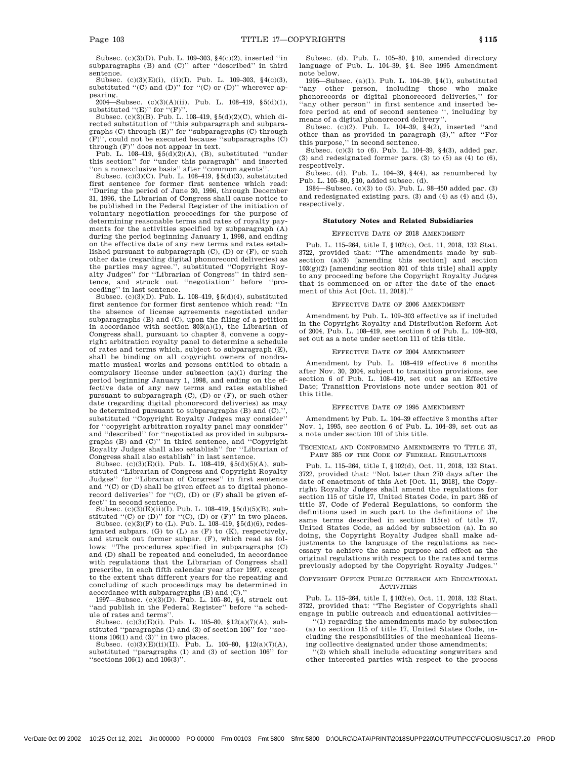Subsec. (c)(3)(D). Pub. L. 109–303, §4(c)(2), inserted ''in subparagraphs (B) and (C)'' after ''described'' in third sentence.

Subsec. (c)(3)(E)(i), (ii)(I). Pub. L. 109–303, §4(c)(3), substituted " $(C)$  and  $(D)$ " for " $(C)$  or  $(D)$ " wherever appearing. 2004—Subsec. (c)(3)(A)(ii). Pub. L. 108–419, §5(d)(1),

substituted "(E)" for "(F)".<br>Subsec. (c)(3)(B). Pub. L. 108–419,  $\S5(d)(2)(C)$ , which di-

rected substitution of ''this subparagraph and subparagraphs (C) through (E)'' for ''subparagraphs (C) through  $\cdots$ , could not be executed because "subparagraphs  $(C)$ 

through (F)'' does not appear in text.<br>
Pub. L. 108–419, §5(d)(2)(A), (B), substituted ''under<br>
this section'' for 'under this paragraph'' and inserted<br>
''on a nonexclusive basis'' after ''common agents''.

Subsec. (c)(3)(C). Pub. L. 108–419, §5(d)(3), substituted first sentence for former first sentence which read: ''During the period of June 30, 1996, through December 31, 1996, the Librarian of Congress shall cause notice to be published in the Federal Register of the initiation of voluntary negotiation proceedings for the purpose of determining reasonable terms and rates of royalty payments for the activities specified by subparagraph (A) during the period beginning January 1, 1998, and ending on the effective date of any new terms and rates established pursuant to subparagraph  $(C)$ ,  $(D)$  or  $(F)$ , or such other date (regarding digital phonorecord deliveries) as the parties may agree.'', substituted ''Copyright Royalty Judges'' for ''Librarian of Congress'' in third sen-tence, and struck out ''negotiation'' before ''pro-

ceeding'' in last sentence. Subsec. (c)(3)(D). Pub. L. 108–419, §5(d)(4), substituted first sentence for former first sentence which read: ''In the absence of license agreements negotiated under subparagraphs  $(B)$  and  $(C)$ , upon the filing of a petition in accordance with section  $803(a)(1)$ , the Librarian of Congress shall, pursuant to chapter 8, convene a copyright arbitration royalty panel to determine a schedule of rates and terms which, subject to subparagraph (E), shall be binding on all copyright owners of nondramatic musical works and persons entitled to obtain a compulsory license under subsection (a)(1) during the period beginning January 1, 1998, and ending on the effective date of any new terms and rates established pursuant to subparagraph (C), (D) or (F), or such other date (regarding digital phonorecord deliveries) as may be determined pursuant to subparagraphs (B) and (C).'', substituted ''Copyright Royalty Judges may consider'' for ''copyright arbitration royalty panel may consider'' and ''described'' for ''negotiated as provided in subparagraphs (B) and (C)'' in third sentence, and ''Copyright Royalty Judges shall also establish'' for ''Librarian of

Congress shall also establish'' in last sentence.<br>Subsec.  $(c)(3)(E)(i)$ . Pub. L. 108–419,  $\S(3)(5)(A)$ , substituted ''Librarian of Congress and Copyright Royalty Judges'' for ''Librarian of Congress'' in first sentence and  $\cdot$  (C) or (D) shall be given effect as to digital phonorecord deliveries" for " $(C)$ ,  $(D)$  or  $(F)$  shall be given effect'' in second sentence.

Subsec.  $(c)(3)(E)(ii)(I)$ . Pub. L. 108–419, §5(d)(5)(B), substituted "(C) or (D)" for "(C), (D) or (F)" in two places.<br>Subsec.  $(c)(3)(F)$  to (L). Pub. L. 108–419, §5(d)(6), redesignated subpars.  $(G)$  to  $(L)$  as  $(F)$  to  $(K)$ , respectively, and struck out former subpar. (F), which read as follows: ''The procedures specified in subparagraphs (C) and (D) shall be repeated and concluded, in accordance with regulations that the Librarian of Congress shall prescribe, in each fifth calendar year after 1997, except to the extent that different years for the repeating and concluding of such proceedings may be determined in accordance with subparagraphs  $(B)$  and  $(C)$ .

1997—Subsec. (c)(3)(D). Pub. L. 105–80, §4, struck out ''and publish in the Federal Register'' before ''a schedule of rates and terms'

Subsec.  $(c)(3)(E)(i)$ . Pub. L. 105–80,  $12(a)(7)(A)$ , substituted ''paragraphs (1) and (3) of section 106'' for ''sections 106(1) and (3)'' in two places.

Subsec.  $(c)(3)(E)(ii)(II)$ . Pub. L. 105–80, §12(a)(7)(A), substituted "paragraphs (1) and (3) of section 106" for "sections  $106(1)$  and  $106(3)$ ".

Subsec. (d). Pub. L. 105–80, §10, amended directory language of Pub. L. 104–39, §4. See 1995 Amendment note below.

1995—Subsec. (a)(1). Pub. L. 104–39, §4(1), substituted ''any other person, including those who make phonorecords or digital phonorecord deliveries,'' for ''any other person'' in first sentence and inserted before period at end of second sentence '', including by means of a digital phonorecord delivery''.

Subsec. (c) $(2)$ . Pub. L. 104–39, §4 $(2)$ , inserted "and other than as provided in paragraph (3),'' after ''For this purpose,'' in second sentence.

Subsec. (c)(3) to (6). Pub. L. 104–39, §4(3), added par. (3) and redesignated former pars. (3) to  $(5)$  as  $(4)$  to  $(6)$ , respectively.

Subsec. (d). Pub. L. 104–39, §4(4), as renumbered by Pub. L. 105–80, §10, added subsec. (d). 1984—Subsec. (c)(3) to (5). Pub. L. 98–450 added par. (3)

and redesignated existing pars. (3) and (4) as (4) and (5), respectively.

# **Statutory Notes and Related Subsidiaries**

# EFFECTIVE DATE OF 2018 AMENDMENT

Pub. L. 115–264, title I, §102(c), Oct. 11, 2018, 132 Stat. 3722, provided that: ''The amendments made by subsection (a)(3) [amending this section] and section 103(g)(2) [amending section 801 of this title] shall apply to any proceeding before the Copyright Royalty Judges that is commenced on or after the date of the enactment of this Act [Oct. 11, 2018].''

### EFFECTIVE DATE OF 2006 AMENDMENT

Amendment by Pub. L. 109–303 effective as if included in the Copyright Royalty and Distribution Reform Act of 2004, Pub. L. 108–419, see section 6 of Pub. L. 109–303, set out as a note under section 111 of this title.

#### EFFECTIVE DATE OF 2004 AMENDMENT

Amendment by Pub. L. 108–419 effective 6 months after Nov. 30, 2004, subject to transition provisions, see section 6 of Pub. L. 108–419, set out as an Effective Date; Transition Provisions note under section 801 of this title.

# EFFECTIVE DATE OF 1995 AMENDMENT

Amendment by Pub. L. 104–39 effective 3 months after Nov. 1, 1995, see section 6 of Pub. L. 104–39, set out as a note under section 101 of this title.

#### TECHNICAL AND CONFORMING AMENDMENTS TO TITLE 37, PART 385 OF THE CODE OF FEDERAL REGULATIONS

Pub. L. 115–264, title I, §102(d), Oct. 11, 2018, 132 Stat. 3722, provided that: ''Not later than 270 days after the date of enactment of this Act [Oct. 11, 2018], the Copyright Royalty Judges shall amend the regulations for section 115 of title 17, United States Code, in part 385 of title 37, Code of Federal Regulations, to conform the definitions used in such part to the definitions of the same terms described in section 115(e) of title 17, United States Code, as added by subsection (a). In so doing, the Copyright Royalty Judges shall make adjustments to the language of the regulations as necessary to achieve the same purpose and effect as the original regulations with respect to the rates and terms previously adopted by the Copyright Royalty Judges.''

# COPYRIGHT OFFICE PUBLIC OUTREACH AND EDUCATIONAL ACTIVITIES

Pub. L. 115–264, title I, §102(e), Oct. 11, 2018, 132 Stat. 3722, provided that: ''The Register of Copyrights shall engage in public outreach and educational activities—

''(1) regarding the amendments made by subsection (a) to section 115 of title 17, United States Code, including the responsibilities of the mechanical licens-

ing collective designated under those amendments; ''(2) which shall include educating songwriters and other interested parties with respect to the process